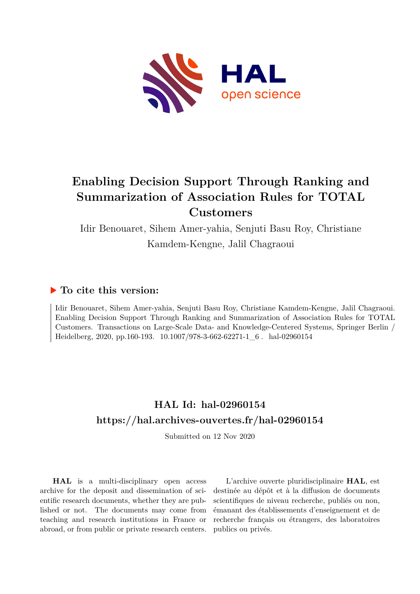

# **Enabling Decision Support Through Ranking and Summarization of Association Rules for TOTAL Customers**

Idir Benouaret, Sihem Amer-yahia, Senjuti Basu Roy, Christiane Kamdem-Kengne, Jalil Chagraoui

# **To cite this version:**

Idir Benouaret, Sihem Amer-yahia, Senjuti Basu Roy, Christiane Kamdem-Kengne, Jalil Chagraoui. Enabling Decision Support Through Ranking and Summarization of Association Rules for TOTAL Customers. Transactions on Large-Scale Data- and Knowledge-Centered Systems, Springer Berlin / Heidelberg, 2020, pp.160-193. 10.1007/978-3-662-62271-1 6. hal-02960154

# **HAL Id: hal-02960154 <https://hal.archives-ouvertes.fr/hal-02960154>**

Submitted on 12 Nov 2020

**HAL** is a multi-disciplinary open access archive for the deposit and dissemination of scientific research documents, whether they are published or not. The documents may come from teaching and research institutions in France or abroad, or from public or private research centers.

L'archive ouverte pluridisciplinaire **HAL**, est destinée au dépôt et à la diffusion de documents scientifiques de niveau recherche, publiés ou non, émanant des établissements d'enseignement et de recherche français ou étrangers, des laboratoires publics ou privés.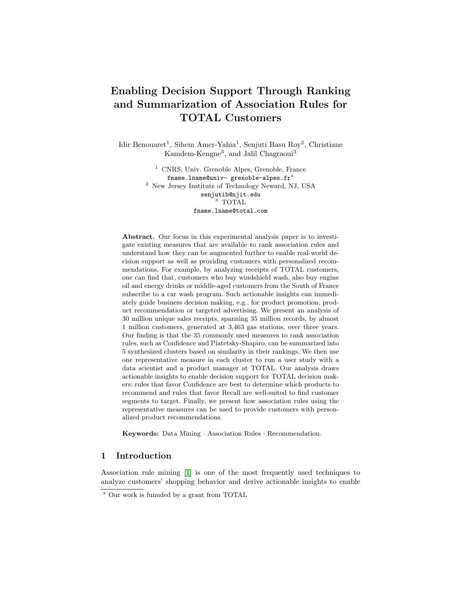# Enabling Decision Support Through Ranking and Summarization of Association Rules for TOTAL Customers

Idir Benouaret<sup>1</sup>, Sihem Amer-Yahia<sup>1</sup>, Senjuti Basu Roy<sup>2</sup>, Christiane Kamdem-Kengne<sup>3</sup>, and Jalil Chagraoui<sup>3</sup>

> <sup>1</sup> CNRS, Univ. Grenoble Alpes, Grenoble, France fname.lname@univ- grenoble-alpes.fr?  $^{\rm 2}$  New Jersey Institute of Technology Neward, NJ, USA senjutib@njit.edu <sup>3</sup> TOTAL fname.lname@total.com

Abstract. Our focus in this experimental analysis paper is to investigate existing measures that are available to rank association rules and understand how they can be augmented further to enable real-world decision support as well as providing customers with personalized recommendations. For example, by analyzing receipts of TOTAL customers, one can find that, customers who buy windshield wash, also buy engine oil and energy drinks or middle-aged customers from the South of France subscribe to a car wash program. Such actionable insights can immediately guide business decision making, e.g., for product promotion, product recommendation or targeted advertising. We present an analysis of 30 million unique sales receipts, spanning 35 million records, by almost 1 million customers, generated at 3,463 gas stations, over three years. Our finding is that the 35 commonly used measures to rank association rules, such as Confidence and Piatetsky-Shapiro, can be summarized into 5 synthesized clusters based on similarity in their rankings. We then use one representative measure in each cluster to run a user study with a data scientist and a product manager at TOTAL. Our analysis draws actionable insights to enable decision support for TOTAL decision makers: rules that favor Confidence are best to determine which products to recommend and rules that favor Recall are well-suited to find customer segments to target. Finally, we present how association rules using the representative measures can be used to provide customers with personalized product recommendations.

Keywords: Data Mining · Association Rules · Recommendation.

# 1 Introduction

Association rule mining [1] is one of the most frequently used techniques to analyze customers' shopping behavior and derive actionable insights to enable

<sup>?</sup> Our work is funuded by a grant from TOTAL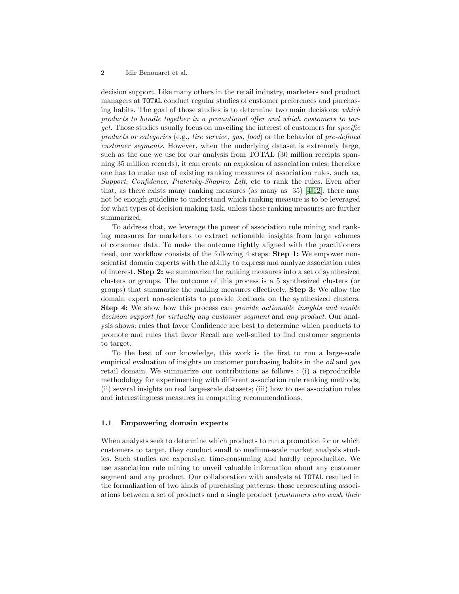decision support. Like many others in the retail industry, marketers and product managers at TOTAL conduct regular studies of customer preferences and purchasing habits. The goal of those studies is to determine two main decisions: which products to bundle together in a promotional offer and which customers to target. Those studies usually focus on unveiling the interest of customers for specific products or categories (e.g., tire service, gas, food) or the behavior of pre-defined customer segments. However, when the underlying dataset is extremely large, such as the one we use for our analysis from TOTAL (30 million receipts spanning 35 million records), it can create an explosion of association rules; therefore one has to make use of existing ranking measures of association rules, such as, Support, Confidence, Piatetsky-Shapiro, Lift, etc to rank the rules. Even after that, as there exists many ranking measures (as many as  $35$ ) [4,12], there may not be enough guideline to understand which ranking measure is to be leveraged for what types of decision making task, unless these ranking measures are further summarized.

To address that, we leverage the power of association rule mining and ranking measures for marketers to extract actionable insights from large volumes of consumer data. To make the outcome tightly aligned with the practitioners need, our workflow consists of the following 4 steps: Step 1: We empower nonscientist domain experts with the ability to express and analyze association rules of interest. Step 2: we summarize the ranking measures into a set of synthesized clusters or groups. The outcome of this process is a 5 synthesized clusters (or groups) that summarize the ranking measures effectively. Step 3: We allow the domain expert non-scientists to provide feedback on the synthesized clusters. Step 4: We show how this process can *provide actionable insights and enable* decision support for virtually any customer segment and any product. Our analysis shows: rules that favor Confidence are best to determine which products to promote and rules that favor Recall are well-suited to find customer segments to target.

To the best of our knowledge, this work is the first to run a large-scale empirical evaluation of insights on customer purchasing habits in the *oil* and *qas* retail domain. We summarize our contributions as follows : (i) a reproducible methodology for experimenting with different association rule ranking methods; (ii) several insights on real large-scale datasets; (iii) how to use association rules and interestingness measures in computing recommendations.

#### 1.1 Empowering domain experts

When analysts seek to determine which products to run a promotion for or which customers to target, they conduct small to medium-scale market analysis studies. Such studies are expensive, time-consuming and hardly reproducible. We use association rule mining to unveil valuable information about any customer segment and any product. Our collaboration with analysts at TOTAL resulted in the formalization of two kinds of purchasing patterns: those representing associations between a set of products and a single product (customers who wash their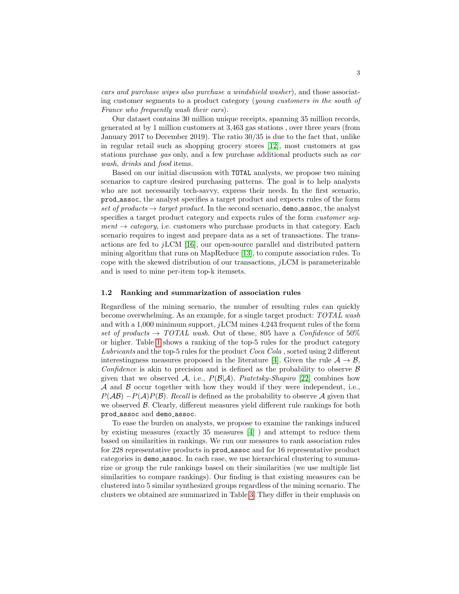cars and purchase wipes also purchase a windshield washer), and those associating customer segments to a product category (young customers in the south of France who frequently wash their cars).

Our dataset contains 30 million unique receipts, spanning 35 million records, generated at by 1 million customers at 3,463 gas stations , over three years (from January 2017 to December 2019). The ratio 30/35 is due to the fact that, unlike in regular retail such as shopping grocery stores [12], most customers at gas stations purchase gas only, and a few purchase additional products such as car wash, drinks and food items.

Based on our initial discussion with TOTAL analysts, we propose two mining scenarios to capture desired purchasing patterns. The goal is to help analysts who are not necessarily tech-savvy, express their needs. In the first scenario, prod assoc, the analyst specifies a target product and expects rules of the form set of products  $\rightarrow$  target product. In the second scenario, demo assoc, the analyst specifies a target product category and expects rules of the form *customer seq* $ment \rightarrow category$ , i.e. customers who purchase products in that category. Each scenario requires to ingest and prepare data as a set of transactions. The transactions are fed to  $jLCM$  [16], our open-source parallel and distributed pattern mining algorithm that runs on MapReduce [13], to compute association rules. To cope with the skewed distribution of our transactions,  $jLCM$  is parameterizable and is used to mine per-item top-k itemsets.

#### 1.2 Ranking and summarization of association rules

Regardless of the mining scenario, the number of resulting rules can quickly become overwhelming. As an example, for a single target product: TOTAL wash and with a 1,000 minimum support, jLCM mines 4,243 frequent rules of the form set of products  $\rightarrow$  TOTAL wash. Out of these, 805 have a Confidence of 50% or higher. Table 1 shows a ranking of the top-5 rules for the product category Lubricants and the top-5 rules for the product Coca Cola, sorted using 2 different interestingness measures proposed in the literature [4]. Given the rule  $A \rightarrow B$ , Confidence is akin to precision and is defined as the probability to observe  $\beta$ given that we observed A, i.e.,  $P(\mathcal{B}|\mathcal{A})$ . Piatetsky-Shapiro [22] combines how  $A$  and  $B$  occur together with how they would if they were independent, i.e.,  $P(A\mathcal{B}) - P(A)P(\mathcal{B})$ . Recall is defined as the probability to observe A given that we observed  $\beta$ . Clearly, different measures yield different rule rankings for both prod assoc and demo assoc.

To ease the burden on analysts, we propose to examine the rankings induced by existing measures (exactly 35 measures [4] ) and attempt to reduce them based on similarities in rankings. We run our measures to rank association rules for 228 representative products in prod assoc and for 16 representative product categories in demo assoc. In each case, we use hierarchical clustering to summarize or group the rule rankings based on their similarities (we use multiple list similarities to compare rankings). Our finding is that existing measures can be clustered into 5 similar synthesized groups regardless of the mining scenario. The clusters we obtained are summarized in Table 3. They differ in their emphasis on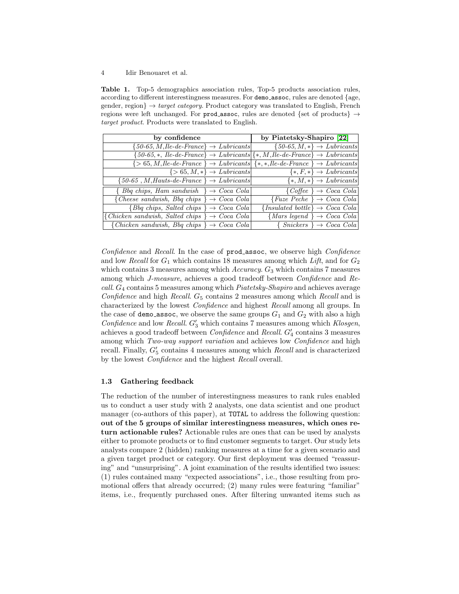Table 1. Top-5 demographics association rules, Top-5 products association rules, according to different interestingness measures. For demo assoc, rules are denoted {age, gender, region $\} \rightarrow target \; category.$  Product category was translated to English, French regions were left unchanged. For **prod\_assoc**, rules are denoted {set of products}  $\rightarrow$ target product. Products were translated to English.

| by confidence                                                                                                                  | by Piatetsky-Shapiro [22]                           |
|--------------------------------------------------------------------------------------------------------------------------------|-----------------------------------------------------|
| $\{50\n-65, M, He-de-France\} \rightarrow Lubricants$                                                                          | $\{50\n-65, M, *\} \rightarrow \textit{Lubricants}$ |
| $\{50\n-65, *, \nHe-de-France\} \rightarrow \nLubricants   \{*, M, \nHe-de-France\} \rightarrow \nLubricants$                  |                                                     |
| $\{> 65, M, \text{lle-de-France }\}\rightarrow \text{Lubricants} \{*, *, \text{lle-de-France }\}\rightarrow \text{Lubricants}$ |                                                     |
| $\{> 65, M, *\} \rightarrow \textit{Lubricants}$                                                                               | $\{*, F, *\} \rightarrow \textit{Lubricants}$       |
| $\{50-65, M, Hauts-de-France\} \rightarrow Lubricants$                                                                         | $\{*, M, *\} \rightarrow \textit{Lubricants}$       |
| $\{Bbg\ chips, Ham\ sandwich\} \rightarrow Coca\ Cola$                                                                         | $\{Coffee\} \rightarrow Coca Cola$                  |
| {Cheese sandwish, Bbq chips } $\rightarrow$ Coca Cola                                                                          | ${Face Peche } \rightarrow Coca Cola$               |
| $\{Bbq \; chips, Salted \; chips \} \rightarrow Coca \; Cola$                                                                  | $\{Insulated\ bottle\} \rightarrow Coca\ Cola$      |
| ${Chicken \; sandwich, Salted \; chips \; } \rightarrow Coca \; Cola$                                                          | $\{ Mars \ legend \} \rightarrow Coca \ Cola$       |
| ${Chicken \; sandwich, Bbg \; chips} \rightarrow Coca \; Cola$                                                                 | $\{Snickers\} \rightarrow Coca\ Cola$               |

Confidence and Recall. In the case of prod\_assoc, we observe high Confidence and low Recall for  $G_1$  which contains 18 measures among which Lift, and for  $G_2$ which contains 3 measures among which  $Accuracy. G<sub>3</sub>$  which contains 7 measures among which J-measure, achieves a good tradeoff between Confidence and Recall. G<sup>4</sup> contains 5 measures among which Piatetsky-Shapiro and achieves average Confidence and high Recall.  $G<sub>5</sub>$  contains 2 measures among which Recall and is characterized by the lowest Confidence and highest Recall among all groups. In the case of demo assoc, we observe the same groups  $G_1$  and  $G_2$  with also a high Confidence and low Recall.  $G_3'$  which contains 7 measures among which Klosgen, achieves a good tradeoff between  $\emph{Confidence}$  and  $\emph{Recall.}$   $G_4'$  contains 3 measures among which Two-way support variation and achieves low Confidence and high recall. Finally,  $G'_{5}$  contains 4 measures among which Recall and is characterized by the lowest Confidence and the highest Recall overall.

# 1.3 Gathering feedback

The reduction of the number of interestingness measures to rank rules enabled us to conduct a user study with 2 analysts, one data scientist and one product manager (co-authors of this paper), at TOTAL to address the following question: out of the 5 groups of similar interestingness measures, which ones return actionable rules? Actionable rules are ones that can be used by analysts either to promote products or to find customer segments to target. Our study lets analysts compare 2 (hidden) ranking measures at a time for a given scenario and a given target product or category. Our first deployment was deemed "reassuring" and "unsurprising". A joint examination of the results identified two issues: (1) rules contained many "expected associations", i.e., those resulting from promotional offers that already occurred; (2) many rules were featuring "familiar" items, i.e., frequently purchased ones. After filtering unwanted items such as

<sup>4</sup> Idir Benouaret et al.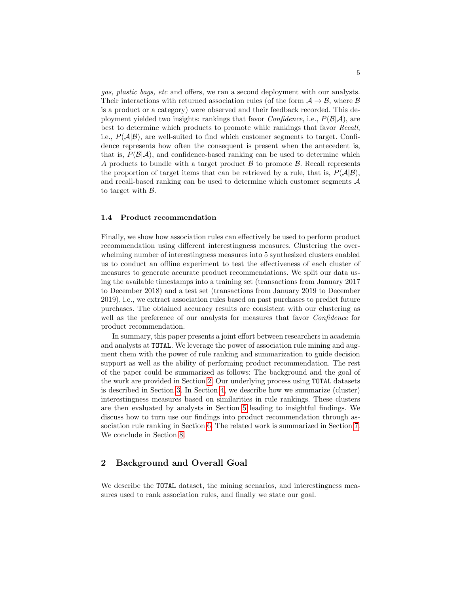gas, plastic bags, etc and offers, we ran a second deployment with our analysts. Their interactions with returned association rules (of the form  $\mathcal{A} \to \mathcal{B}$ , where  $\mathcal{B}$ is a product or a category) were observed and their feedback recorded. This deployment yielded two insights: rankings that favor *Confidence*, i.e.,  $P(\mathcal{B}|\mathcal{A})$ , are best to determine which products to promote while rankings that favor Recall, i.e.,  $P(A|\mathcal{B})$ , are well-suited to find which customer segments to target. Confidence represents how often the consequent is present when the antecedent is, that is,  $P(\mathcal{B}|\mathcal{A})$ , and confidence-based ranking can be used to determine which A products to bundle with a target product  $\beta$  to promote  $\beta$ . Recall represents the proportion of target items that can be retrieved by a rule, that is,  $P(A|B)$ , and recall-based ranking can be used to determine which customer segments  $A$ to target with B.

#### 1.4 Product recommendation

Finally, we show how association rules can effectively be used to perform product recommendation using different interestingness measures. Clustering the overwhelming number of interestingness measures into 5 synthesized clusters enabled us to conduct an offline experiment to test the effectiveness of each cluster of measures to generate accurate product recommendations. We split our data using the available timestamps into a training set (transactions from January 2017 to December 2018) and a test set (transactions from January 2019 to December 2019), i.e., we extract association rules based on past purchases to predict future purchases. The obtained accuracy results are consistent with our clustering as well as the preference of our analysts for measures that favor *Confidence* for product recommendation.

In summary, this paper presents a joint effort between researchers in academia and analysts at TOTAL. We leverage the power of association rule mining and augment them with the power of rule ranking and summarization to guide decision support as well as the ability of performing product recommendation. The rest of the paper could be summarized as follows: The background and the goal of the work are provided in Section 2. Our underlying process using TOTAL datasets is described in Section 3. In Section 4, we describe how we summarize (cluster) interestingness measures based on similarities in rule rankings. These clusters are then evaluated by analysts in Section 5 leading to insightful findings. We discuss how to turn use our findings into product recommendation through association rule ranking in Section 6. The related work is summarized in Section 7. We conclude in Section 8.

# 2 Background and Overall Goal

We describe the TOTAL dataset, the mining scenarios, and interestingness measures used to rank association rules, and finally we state our goal.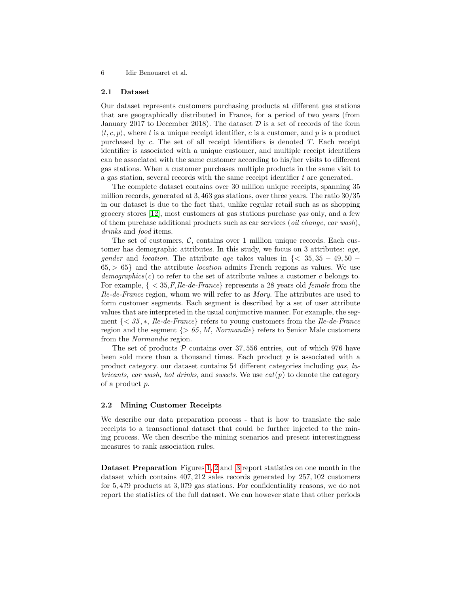#### 2.1 Dataset

Our dataset represents customers purchasing products at different gas stations that are geographically distributed in France, for a period of two years (from January 2017 to December 2018). The dataset  $\mathcal D$  is a set of records of the form  $\langle t, c, p \rangle$ , where t is a unique receipt identifier, c is a customer, and p is a product purchased by  $c$ . The set of all receipt identifiers is denoted  $T$ . Each receipt identifier is associated with a unique customer, and multiple receipt identifiers can be associated with the same customer according to his/her visits to different gas stations. When a customer purchases multiple products in the same visit to a gas station, several records with the same receipt identifier  $t$  are generated.

The complete dataset contains over 30 million unique receipts, spanning 35 million records, generated at 3, 463 gas stations, over three years. The ratio 30/35 in our dataset is due to the fact that, unlike regular retail such as as shopping grocery stores  $[12]$ , most customers at gas stations purchase gas only, and a few of them purchase additional products such as car services (oil change, car wash), drinks and food items.

The set of customers,  $\mathcal{C}$ , contains over 1 million unique records. Each customer has demographic attributes. In this study, we focus on 3 attributes: age, gender and location. The attribute age takes values in  $\{< 35, 35 - 49, 50 65, > 65$  and the attribute *location* admits French regions as values. We use demographics(c) to refer to the set of attribute values a customer c belongs to. For example,  $\{ < 35, F, \text{lle-de-France} \}$  represents a 28 years old *female* from the Ile-de-France region, whom we will refer to as Mary. The attributes are used to form customer segments. Each segment is described by a set of user attribute values that are interpreted in the usual conjunctive manner. For example, the segment {< 35 , ∗, Ile-de-France} refers to young customers from the Ile-de-France region and the segment  $\{> 65, M, Normalie\}$  refers to Senior Male customers from the Normandie region.

The set of products  $P$  contains over 37, 556 entries, out of which 976 have been sold more than a thousand times. Each product  $p$  is associated with a product category. our dataset contains 54 different categories including gas, lubricants, car wash, hot drinks, and sweets. We use  $cat(p)$  to denote the category of a product p.

#### 2.2 Mining Customer Receipts

We describe our data preparation process - that is how to translate the sale receipts to a transactional dataset that could be further injected to the mining process. We then describe the mining scenarios and present interestingness measures to rank association rules.

Dataset Preparation Figures 1, 2 and 3 report statistics on one month in the dataset which contains 407, 212 sales records generated by 257, 102 customers for 5, 479 products at 3, 079 gas stations. For confidentiality reasons, we do not report the statistics of the full dataset. We can however state that other periods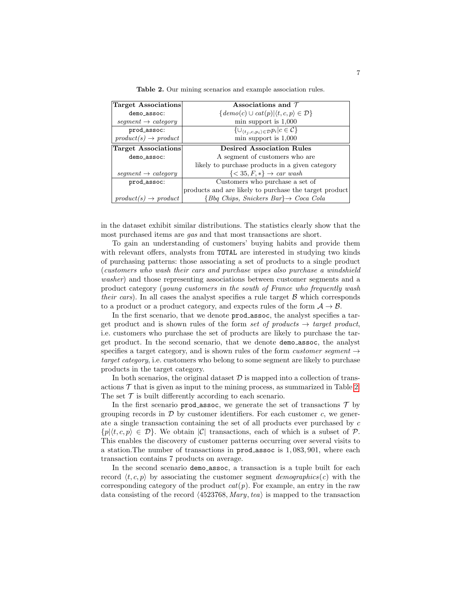| Target Associations              | Associations and $\mathcal T$                                           |  |
|----------------------------------|-------------------------------------------------------------------------|--|
| demo assoc:                      | $\{demo(c) \cup cat(p)  \langle t, c, p \rangle \in \mathcal{D}\}\$     |  |
| seqment $\rightarrow$ category   | min support is $1,000$                                                  |  |
| prod_assoc:                      | $\{\cup_{\langle t_i,c,p_i\rangle\in\mathcal{D}}p_i c\in\mathcal{C}\}\$ |  |
| $product(s) \rightarrow product$ | min support is $1,000$                                                  |  |
| <b>Target Associations</b>       | <b>Desired Association Rules</b>                                        |  |
| demo_assoc:                      | A segment of customers who are                                          |  |
|                                  | likely to purchase products in a given category                         |  |
| $segment \rightarrow category$   | $\{<35, F, *\} \rightarrow car \ wash$                                  |  |
| prod_assoc:                      | Customers who purchase a set of                                         |  |
|                                  | products and are likely to purchase the target product                  |  |
| $product(s) \rightarrow product$ | $\{Bbq \; Chips, Snickers \; Bar\} \rightarrow \; Coca \; Cola$         |  |

Table 2. Our mining scenarios and example association rules.

in the dataset exhibit similar distributions. The statistics clearly show that the most purchased items are gas and that most transactions are short.

To gain an understanding of customers' buying habits and provide them with relevant offers, analysts from TOTAL are interested in studying two kinds of purchasing patterns: those associating a set of products to a single product (customers who wash their cars and purchase wipes also purchase a windshield washer) and those representing associations between customer segments and a product category (young customers in the south of France who frequently wash their cars). In all cases the analyst specifies a rule target  $\beta$  which corresponds to a product or a product category, and expects rules of the form  $A \rightarrow \mathcal{B}$ .

In the first scenario, that we denote prod assoc, the analyst specifies a target product and is shown rules of the form set of products  $\rightarrow$  target product, i.e. customers who purchase the set of products are likely to purchase the target product. In the second scenario, that we denote demo assoc, the analyst specifies a target category, and is shown rules of the form *customer segment*  $\rightarrow$ target category, i.e. customers who belong to some segment are likely to purchase products in the target category.

In both scenarios, the original dataset  $\mathcal D$  is mapped into a collection of transactions  $\mathcal T$  that is given as input to the mining process, as summarized in Table 2. The set  $\mathcal T$  is built differently according to each scenario.

In the first scenario prod assoc, we generate the set of transactions  $\mathcal T$  by grouping records in  $\mathcal D$  by customer identifiers. For each customer c, we generate a single transaction containing the set of all products ever purchased by c  $\{p|\langle t, c, p \rangle \in \mathcal{D}\}\.$  We obtain  $|\mathcal{C}|$  transactions, each of which is a subset of  $\mathcal{P}\.$ This enables the discovery of customer patterns occurring over several visits to a station. The number of transactions in  $prod$ assoc is  $1,083,901$ , where each transaction contains 7 products on average.

In the second scenario demo assoc, a transaction is a tuple built for each record  $\langle t, c, p \rangle$  by associating the customer segment *demographics*(c) with the corresponding category of the product  $cat(p)$ . For example, an entry in the raw data consisting of the record  $\langle 4523768, Mary, tea \rangle$  is mapped to the transaction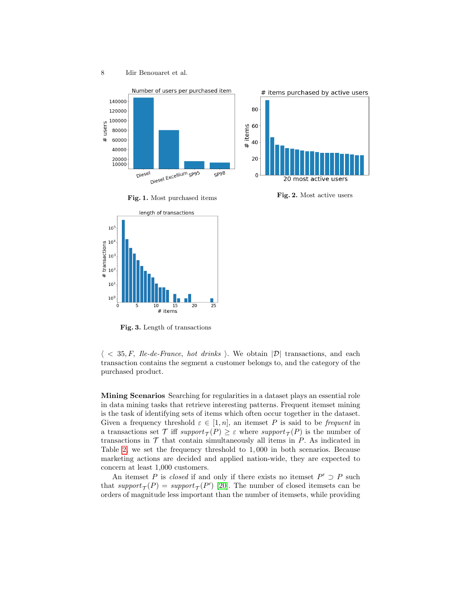

Fig. 3. Length of transactions

 $\langle \, \langle \, \, 35, \, F, \, \, I \, \rangle \, \text{le-de-France}, \, \text{hot } \, \text{drinks} \, \rangle.$  We obtain  $|\mathcal{D}|$  transactions, and each transaction contains the segment a customer belongs to, and the category of the purchased product.

Mining Scenarios Searching for regularities in a dataset plays an essential role in data mining tasks that retrieve interesting patterns. Frequent itemset mining is the task of identifying sets of items which often occur together in the dataset. Given a frequency threshold  $\varepsilon \in [1, n]$ , an itemset P is said to be frequent in a transactions set T iff  $support_{\mathcal{T}}(P) \geq \varepsilon$  where  $support_{\mathcal{T}}(P)$  is the number of transactions in  $\mathcal T$  that contain simultaneously all items in  $P$ . As indicated in Table 2, we set the frequency threshold to 1, 000 in both scenarios. Because marketing actions are decided and applied nation-wide, they are expected to concern at least 1,000 customers.

An itemset P is *closed* if and only if there exists no itemset  $P' \supset P$  such that support  $\tau(P) = support \tau(P')$  [20]. The number of closed itemsets can be orders of magnitude less important than the number of itemsets, while providing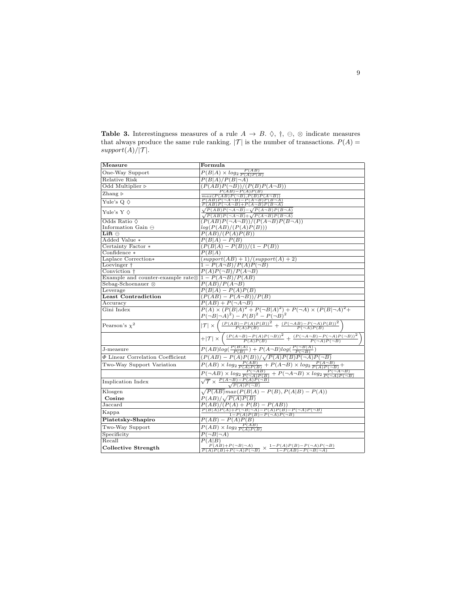| <b>Table 3.</b> Interestingness measures of a rule $A \rightarrow B$ . $\Diamond$ , $\dagger$ , $\ominus$ , $\Diamond$ indicate measures |  |
|------------------------------------------------------------------------------------------------------------------------------------------|--|
| that always produce the same rule ranking. $ \mathcal{T} $ is the number of transactions. $P(A)$                                         |  |
| $support(A)/ \mathcal{T} $ .                                                                                                             |  |

| Measure                                                            | Formula                                                                                                                                                                                                                                                                        |
|--------------------------------------------------------------------|--------------------------------------------------------------------------------------------------------------------------------------------------------------------------------------------------------------------------------------------------------------------------------|
| One-Way Support                                                    | $P(B A) \times log_2 \frac{P(AB)}{P(A)P(B)}$                                                                                                                                                                                                                                   |
| Relative Risk                                                      | $P(B A)/P(B \neg A)$                                                                                                                                                                                                                                                           |
| Odd Multiplier D                                                   | $(P(AB)P(\neg B))/(P(B)P(A\neg B))$                                                                                                                                                                                                                                            |
| Zhang $\triangleright$                                             | $P(AB) - P(A)P(B)$<br>$\overline{max(P(AB)P(\neg B),P(B)P(A\neg B))}$                                                                                                                                                                                                          |
| Yule's Q $\diamondsuit$                                            | $P(AB)P(\neg A\neg B) - P(A\neg B)P(B\neg A)$<br>$P(AB)P(A-B)+P(A-B)P(B-A)$                                                                                                                                                                                                    |
| Yule's $Y \Diamond$                                                | $\sqrt{P(AB)P(\neg A \neg B)} - \sqrt{P(A \neg B)P(B \neg A)}$<br>$\sqrt{P(AB)P(\neg A \neg B)} + \sqrt{P(A \neg B)P(B \neg A)}$                                                                                                                                               |
| Odds Ratio $\diamond$                                              | $\frac{(P(AB)P(\neg A\neg B))/(P(A\neg B)P(B\neg A))}{P(A\neg B)P(B\neg A)}$                                                                                                                                                                                                   |
| Information Gain $\ominus$                                         | log(P(AB)/(P(A)P(B)))                                                                                                                                                                                                                                                          |
| Lift $\ominus$                                                     | P(AB)/(P(A)P(B))                                                                                                                                                                                                                                                               |
| Added Value *                                                      | $P(B A) - P(B)$                                                                                                                                                                                                                                                                |
| Certainty Factor *                                                 | $\frac{(P(B A) - P(B))/(1 - P(B))}{(P(B))}$                                                                                                                                                                                                                                    |
| Confidence *                                                       | P(B A)                                                                                                                                                                                                                                                                         |
| Laplace Correction*                                                | $(support(AB) + 1)/(support(A) + 2)$                                                                                                                                                                                                                                           |
| Loevinger †                                                        | $1 - P(A \neg B)/P(A)P(\neg B)$                                                                                                                                                                                                                                                |
| Conviction †                                                       | $P(A)P(\neg B)/P(A\neg B)$                                                                                                                                                                                                                                                     |
| Example and counter-example rate $\otimes$ $1 - P(A \neg B)/P(AB)$ |                                                                                                                                                                                                                                                                                |
| Sebag-Schoenauer $\otimes$                                         | $P(AB)/P(A\neg B)$                                                                                                                                                                                                                                                             |
| Leverage                                                           | $P(B A) - P(A)P(B)$                                                                                                                                                                                                                                                            |
| <b>Least Contradiction</b>                                         | $(P(AB) - P(A\neg B))/P(B)$                                                                                                                                                                                                                                                    |
| Accuracy                                                           | $P(AB) + P(\neg A\neg B)$                                                                                                                                                                                                                                                      |
| Gini Index                                                         | $P(A) \times (P(B A)^{2} + P(\neg B A)^{2}) + P(\neg A) \times (P(B \neg A)^{2} +$<br>$P(\neg B \neg A)^2) - P(B)^2 - P(\neg B)^2$                                                                                                                                             |
| Pearson's $\chi^2$                                                 | $ \mathcal{T}  \times \left( \frac{\frac{(P(AB) - P(A)P(B))^2}{P(A)P(B)} + \frac{(P(\neg AB) - P(\neg A)P(B))^2}{P(\neg A)P(B)} }{\frac{P(A)P(B)}{P(\neg A)P(B)}} \right)$                                                                                                     |
|                                                                    | $+ \mathcal{T}  \times \left(\tfrac{\left(P(A \neg B) - P(A)P(\neg B)\right)^2}{P(A)P(B)} + \tfrac{\left(P(\neg A \neg B) - P(\neg A)P(\neg B)\right)^2}{P(\neg A)P(\neg B)} \right.$                                                                                          |
| J-measure                                                          | $P(AB)log(\frac{P(B A)}{P(B)})+P(A\neg B)log(\frac{P(\neg B A)}{P(\neg B)})$                                                                                                                                                                                                   |
| $\Phi$ Linear Correlation Coefficient                              | $\overline{(P(AB) - P(A)P(B))/\sqrt{P(A)P(B)P(\neg A)P(\neg B)}}$                                                                                                                                                                                                              |
| Two-Way Support Variation                                          | $P(AB) \times log_2 \frac{P(AB)}{P(A)P(B)} + P(A\neg B) \times log_2 \frac{P(A\neg B)}{P(A)P(\neg B)} +$                                                                                                                                                                       |
|                                                                    |                                                                                                                                                                                                                                                                                |
| Implication Index                                                  | $\frac{\frac{P(\neg AB) \times log_2 P(\neg AB)}{P(\neg AB) \times log_2 \frac{P(\neg AB)}{P(\neg A)P(B)} + P(\neg A \neg B) \times log_2 \frac{P(\neg A \neg B)}{P(\neg A)P(\neg B)}}}{\sqrt{\overline{\tau}} \times \frac{P(A \neg B) - P(A)P(\neg B)}{P(\neg A)P(\neg B)}}$ |
| Klosgen                                                            | $\sqrt{P(AB)}max(P(B A) - P(B), P(A B) - P(A))$                                                                                                                                                                                                                                |
| Cosine                                                             | $P(AB)/\sqrt{P(A)P(B)}$                                                                                                                                                                                                                                                        |
| Jaccard                                                            | $\frac{P(AB)/(P(A)+P(B)-P(AB))}{P(AB)}$                                                                                                                                                                                                                                        |
| Kappa                                                              | $P(B A)P(A)+P(\neg B \neg A)-P(A)P(B)-P(\neg A)P(\neg B)$<br>$1-P(A)P(B)-P(\neg A)P(\neg B)$                                                                                                                                                                                   |
| Piatetsky-Shapiro                                                  | $P(AB) - P(A)P(B)$                                                                                                                                                                                                                                                             |
| Two-Way Support                                                    | $P(AB) \times log_2 \frac{P(AB)}{P(A)P(B)}$                                                                                                                                                                                                                                    |
| Specificity                                                        | $P(\neg B \neg A)$                                                                                                                                                                                                                                                             |
| Recall                                                             | P(A B)                                                                                                                                                                                                                                                                         |
| Collective Strength                                                | $\frac{P(AB) + P(\neg B \neg A)}{P(A)P(B) + P(\neg A)P(\neg B)} \times \frac{1 - P(A)P(B) - P(\neg A)P(\neg B)}{1 - P(AB) - P(\neg B \neg A)}$                                                                                                                                 |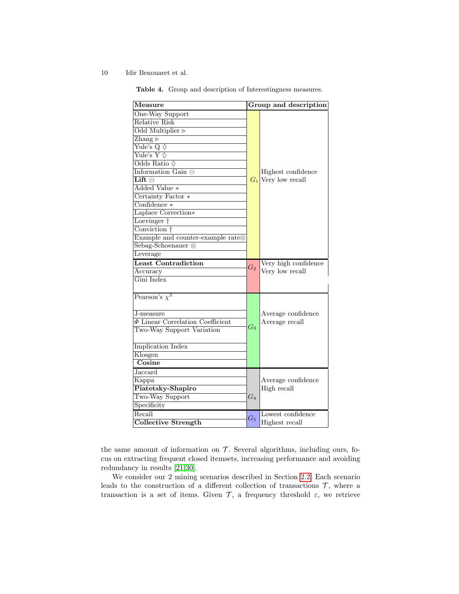| Measure                                          |                  | Group and description |
|--------------------------------------------------|------------------|-----------------------|
| One-Way Support                                  |                  |                       |
| <b>Relative Risk</b>                             |                  |                       |
| Odd Multiplier $\triangleright$                  |                  |                       |
| Zhang $\triangleright$                           |                  |                       |
| Yule's $\overline{Q}$ $\overline{\lozenge}$      |                  |                       |
| Yule's $\overline{Y}$ $\Diamond$                 |                  |                       |
| Odds Ratio $\Diamond$                            |                  |                       |
| Information Gain $\ominus$                       |                  | Highest confidence    |
| Lift $\ominus$                                   |                  | $G_1$ Very low recall |
| Added Value *                                    |                  |                       |
| Certainty Factor *                               |                  |                       |
| Confidence *                                     |                  |                       |
| Laplace Correction*                              |                  |                       |
| Loevinger †                                      |                  |                       |
| Conviction †                                     |                  |                       |
| Example and counter-example rate                 |                  |                       |
| Sebag-Schoenauer $\otimes$                       |                  |                       |
| Leverage                                         |                  |                       |
| Least Contradiction                              | $\overline{G_2}$ | Very high confidence  |
| Accuracy                                         |                  | Very low recall       |
| Gini Index                                       |                  |                       |
| Pearson's $\chi^2$                               |                  |                       |
|                                                  |                  |                       |
| J-measure                                        |                  | Average confidence    |
| $\overline{\Phi}$ Linear Correlation Coefficient | $G_3$            | Average recall        |
| Two-Way Support Variation                        |                  |                       |
| Implication Index                                |                  |                       |
| Klosgen                                          |                  |                       |
| Cosine                                           |                  |                       |
| Jaccard                                          |                  |                       |
| $\overline{\text{Kappa}}$                        |                  | Average confidence    |
| Piatetsky-Shapiro                                |                  | High recall           |
| Two-Way Support                                  | $G_4$            |                       |
| Specificity                                      |                  |                       |
| Recall                                           |                  | Lowest confidence     |
| <b>Collective Strength</b>                       | $G_5$            | Highest recall        |

Table 4. Group and description of Interestingness measures.

the same amount of information on  $\mathcal T$ . Several algorithms, including ours, focus on extracting frequent closed itemsets, increasing performance and avoiding redundancy in results [21,30].

We consider our 2 mining scenarios described in Section 2.2. Each scenario leads to the construction of a different collection of transactions  $\mathcal{T}$ , where a transaction is a set of items. Given  $\mathcal{T}$ , a frequency threshold  $\varepsilon$ , we retrieve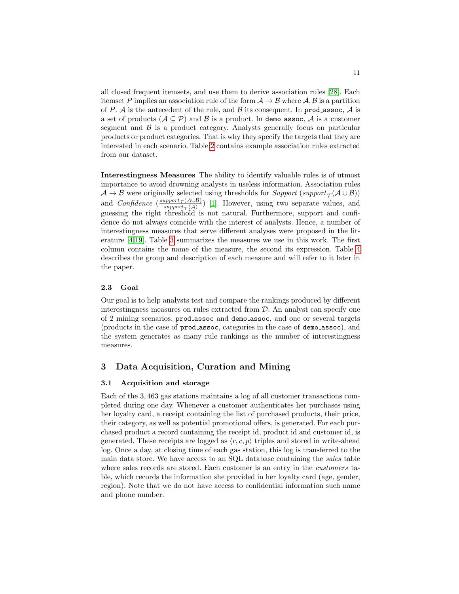all closed frequent itemsets, and use them to derive association rules [28]. Each itemset P implies an association rule of the form  $A \rightarrow B$  where  $A, B$  is a partition of P. A is the antecedent of the rule, and B its consequent. In prod assoc, A is a set of products ( $A \subseteq \mathcal{P}$ ) and  $\mathcal{B}$  is a product. In demo assoc,  $\mathcal{A}$  is a customer segment and  $\beta$  is a product category. Analysts generally focus on particular products or product categories. That is why they specify the targets that they are interested in each scenario. Table 2 contains example association rules extracted from our dataset.

Interestingness Measures The ability to identify valuable rules is of utmost importance to avoid drowning analysts in useless information. Association rules  $\mathcal{A} \to \mathcal{B}$  were originally selected using thresholds for *Support* (support<sub>T</sub>( $\mathcal{A} \cup \mathcal{B}$ )) and *Confidence* ( $\frac{support_T(A\cup B)}{support_T(A)}$  $\frac{support_T(\mathcal{A} \cup \mathcal{B})}{support_T(\mathcal{A})}$  [1]. However, using two separate values, and guessing the right threshold is not natural. Furthermore, support and confidence do not always coincide with the interest of analysts. Hence, a number of interestingness measures that serve different analyses were proposed in the literature [4,19]. Table 3 summarizes the measures we use in this work. The first column contains the name of the measure, the second its expression. Table 4 describes the group and description of each measure and will refer to it later in the paper.

## 2.3 Goal

Our goal is to help analysts test and compare the rankings produced by different interestingness measures on rules extracted from  $D$ . An analyst can specify one of 2 mining scenarios, prod assoc and demo assoc, and one or several targets (products in the case of prod assoc, categories in the case of demo assoc), and the system generates as many rule rankings as the number of interestingness measures.

# 3 Data Acquisition, Curation and Mining

#### 3.1 Acquisition and storage

Each of the 3, 463 gas stations maintains a log of all customer transactions completed during one day. Whenever a customer authenticates her purchases using her loyalty card, a receipt containing the list of purchased products, their price, their category, as well as potential promotional offers, is generated. For each purchased product a record containing the receipt id, product id and customer id, is generated. These receipts are logged as  $\langle r, c, p \rangle$  triples and stored in write-ahead log. Once a day, at closing time of each gas station, this log is transferred to the main data store. We have access to an SQL database containing the sales table where sales records are stored. Each customer is an entry in the customers table, which records the information she provided in her loyalty card (age, gender, region). Note that we do not have access to confidential information such name and phone number.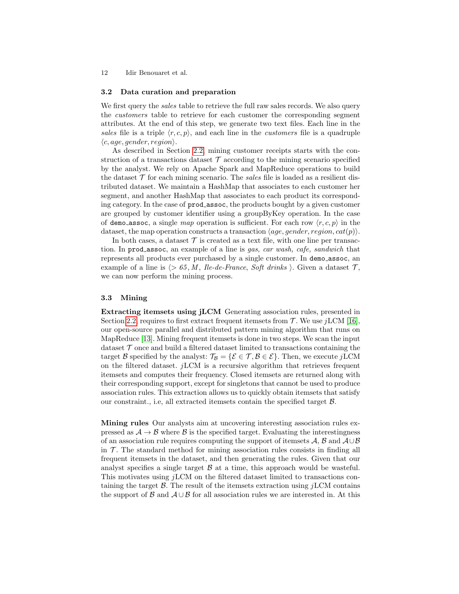#### 3.2 Data curation and preparation

We first query the *sales* table to retrieve the full raw sales records. We also query the customers table to retrieve for each customer the corresponding segment attributes. At the end of this step, we generate two text files. Each line in the sales file is a triple  $\langle r, c, p \rangle$ , and each line in the *customers* file is a quadruple  $\langle c, age, gender, region \rangle$ .

As described in Section 2.2, mining customer receipts starts with the construction of a transactions dataset  $\mathcal T$  according to the mining scenario specified by the analyst. We rely on Apache Spark and MapReduce operations to build the dataset  $\mathcal T$  for each mining scenario. The sales file is loaded as a resilient distributed dataset. We maintain a HashMap that associates to each customer her segment, and another HashMap that associates to each product its corresponding category. In the case of prod assoc, the products bought by a given customer are grouped by customer identifier using a groupByKey operation. In the case of demo assoc, a single map operation is sufficient. For each row  $\langle r, c, p \rangle$  in the dataset, the map operation constructs a transaction  $\langle age, gender, region, cat(p)\rangle$ .

In both cases, a dataset  $\mathcal T$  is created as a text file, with one line per transaction. In prod assoc, an example of a line is gas, car wash, cafe, sandwich that represents all products ever purchased by a single customer. In demo assoc, an example of a line is  $\langle > 65 , M , \text{ } \text{I} \text{I} \text{e} \text{--} \text{France}, \text{Soft } \text{drinks} \rangle$ . Given a dataset  $\mathcal{T}$ , we can now perform the mining process.

#### 3.3 Mining

Extracting itemsets using jLCM Generating association rules, presented in Section 2.2, requires to first extract frequent itemsets from  $\mathcal{T}$ . We use jLCM [16], our open-source parallel and distributed pattern mining algorithm that runs on MapReduce [13]. Mining frequent itemsets is done in two steps. We scan the input dataset  $\mathcal T$  once and build a filtered dataset limited to transactions containing the target B specified by the analyst:  $\mathcal{T}_{\mathcal{B}} = {\mathcal{E} \in \mathcal{T}, \mathcal{B} \in \mathcal{E}}$ . Then, we execute jLCM on the filtered dataset. jLCM is a recursive algorithm that retrieves frequent itemsets and computes their frequency. Closed itemsets are returned along with their corresponding support, except for singletons that cannot be used to produce association rules. This extraction allows us to quickly obtain itemsets that satisfy our constraint., i.e, all extracted itemsets contain the specified target B.

Mining rules Our analysts aim at uncovering interesting association rules expressed as  $\mathcal{A} \to \mathcal{B}$  where  $\mathcal{B}$  is the specified target. Evaluating the interestingness of an association rule requires computing the support of itemsets A, B and  $\mathcal{A}\cup\mathcal{B}$ in  $\mathcal T$ . The standard method for mining association rules consists in finding all frequent itemsets in the dataset, and then generating the rules. Given that our analyst specifies a single target  $\beta$  at a time, this approach would be wasteful. This motivates using jLCM on the filtered dataset limited to transactions containing the target  $\beta$ . The result of the itemsets extraction using jLCM contains the support of B and  $\mathcal{A} \cup \mathcal{B}$  for all association rules we are interested in. At this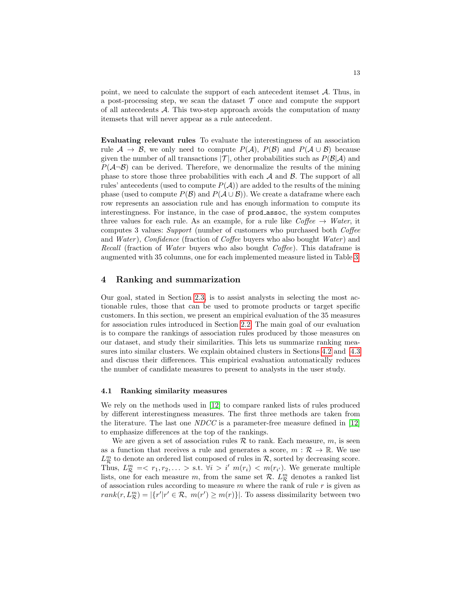point, we need to calculate the support of each antecedent itemset  $A$ . Thus, in a post-processing step, we scan the dataset  $\mathcal T$  once and compute the support of all antecedents  $A$ . This two-step approach avoids the computation of many itemsets that will never appear as a rule antecedent.

Evaluating relevant rules To evaluate the interestingness of an association rule  $A \to B$ , we only need to compute  $P(A)$ ,  $P(B)$  and  $P(A \cup B)$  because given the number of all transactions  $|\mathcal{T}|$ , other probabilities such as  $P(\mathcal{B}|\mathcal{A})$  and  $P(\mathcal{A}\neg\mathcal{B})$  can be derived. Therefore, we denormalize the results of the mining phase to store those three probabilities with each  $A$  and  $B$ . The support of all rules' antecedents (used to compute  $P(A)$ ) are added to the results of the mining phase (used to compute  $P(\mathcal{B})$  and  $P(\mathcal{A} \cup \mathcal{B})$ ). We create a dataframe where each row represents an association rule and has enough information to compute its interestingness. For instance, in the case of prod assoc, the system computes three values for each rule. As an example, for a rule like  $Cof$   $\theta e \rightarrow Water$ , it computes 3 values: Support (number of customers who purchased both Coffee and *Water*), *Confidence* (fraction of *Coffee* buyers who also bought *Water*) and Recall (fraction of Water buyers who also bought Coffee). This dataframe is augmented with 35 columns, one for each implemented measure listed in Table 3.

# 4 Ranking and summarization

Our goal, stated in Section 2.3, is to assist analysts in selecting the most actionable rules, those that can be used to promote products or target specific customers. In this section, we present an empirical evaluation of the 35 measures for association rules introduced in Section 2.2. The main goal of our evaluation is to compare the rankings of association rules produced by those measures on our dataset, and study their similarities. This lets us summarize ranking measures into similar clusters. We explain obtained clusters in Sections 4.2 and 4.3 and discuss their differences. This empirical evaluation automatically reduces the number of candidate measures to present to analysts in the user study.

#### 4.1 Ranking similarity measures

We rely on the methods used in [12] to compare ranked lists of rules produced by different interestingness measures. The first three methods are taken from the literature. The last one *NDCC* is a parameter-free measure defined in  $[12]$ to emphasize differences at the top of the rankings.

We are given a set of association rules  $R$  to rank. Each measure,  $m$ , is seen as a function that receives a rule and generates a score,  $m : \mathcal{R} \to \mathbb{R}$ . We use  $L_{\mathcal{R}}^{m}$  to denote an ordered list composed of rules in  $\mathcal{R}$ , sorted by decreasing score. Thus,  $L^m_{\mathcal{R}} = \langle r_1, r_2, \ldots \rangle$  s.t.  $\forall i > i' \ m(r_i) < m(r_{i'})$ . We generate multiple lists, one for each measure  $m$ , from the same set  $\mathcal{R}$ .  $L_{\mathcal{R}}^{m}$  denotes a ranked list of association rules according to measure  $m$  where the rank of rule  $r$  is given as  $rank(r, L^m_R) = |\{r'|r' \in \mathcal{R}, m(r') \geq m(r)\}|.$  To assess dissimilarity between two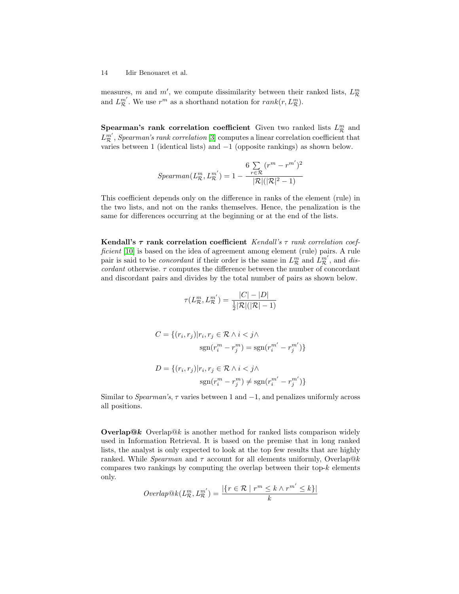measures, m and  $m'$ , we compute dissimilarity between their ranked lists,  $L_{\mathcal{R}}^{m}$ and  $L_{\mathcal{R}}^{m'}$ . We use  $r^m$  as a shorthand notation for  $rank(r, L_{\mathcal{R}}^m)$ .

**Spearman's rank correlation coefficient** Given two ranked lists  $L_{\mathcal{R}}^{m}$  and  $L_{\mathcal{R}}^{m'}$ , Spearman's rank correlation [3] computes a linear correlation coefficient that varies between 1 (identical lists) and −1 (opposite rankings) as shown below.

$$
Spearman(L^m_{\mathcal{R}},L^{m'}_{\mathcal{R}})=1-\frac{6\sum\limits_{r\in \mathcal{R}}{(r^m-r^{m'})^2}}{|\mathcal{R}|(|\mathcal{R}|^2-1)}
$$

This coefficient depends only on the difference in ranks of the element (rule) in the two lists, and not on the ranks themselves. Hence, the penalization is the same for differences occurring at the beginning or at the end of the lists.

Kendall's  $\tau$  rank correlation coefficient Kendall's  $\tau$  rank correlation coefficient [10] is based on the idea of agreement among element (rule) pairs. A rule pair is said to be *concordant* if their order is the same in  $L_{\mathcal{R}}^{m}$  and  $\tilde{L}_{\mathcal{R}}^{m'}$ , and discordant otherwise.  $\tau$  computes the difference between the number of concordant and discordant pairs and divides by the total number of pairs as shown below.

$$
\tau(L_{\mathcal{R}}^m, L_{\mathcal{R}}^{m'}) = \frac{|C| - |D|}{\frac{1}{2}|\mathcal{R}|(|\mathcal{R}| - 1)}
$$

$$
C = \{(r_i, r_j) | r_i, r_j \in \mathcal{R} \land i < j \land \sum_{i \in \mathcal{S}} \text{sgn}(r_i^m - r_j^m) = \text{sgn}(r_i^{m'} - r_j^{m'})\}
$$

$$
D = \{(r_i, r_j) | r_i, r_j \in \mathcal{R} \land i < j \land \}
$$
\n
$$
\text{sgn}(r_i^m - r_j^m) \neq \text{sgn}(r_i^{m'} - r_j^{m'})\}
$$

Similar to Spearman's,  $\tau$  varies between 1 and  $-1$ , and penalizes uniformly across all positions.

**Overlap@k** Overlap@k is another method for ranked lists comparison widely used in Information Retrieval. It is based on the premise that in long ranked lists, the analyst is only expected to look at the top few results that are highly ranked. While Spearman and  $\tau$  account for all elements uniformly, Overlap  $@k$ compares two rankings by computing the overlap between their top- $k$  elements only.

$$
Overallap@k(L^m_{\mathcal{R}}, L^{m'}_{\mathcal{R}}) = \frac{|\{r \in \mathcal{R} \mid r^m \le k \land r^{m'} \le k\}|}{k}
$$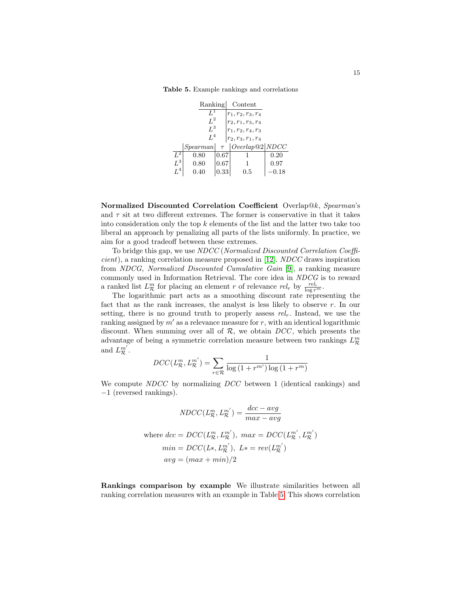Table 5. Example rankings and correlations

| Ranking          |          |          | Content                   |      |
|------------------|----------|----------|---------------------------|------|
|                  |          |          | $r_1, r_2, r_3, r_4$      |      |
|                  | $L^2$    |          | $r_2, r_1, r_3, r_4$      |      |
|                  | $L^3$    |          | $ r_1, r_2, r_4, r_3$     |      |
|                  | $L^4$    |          | $ r_2, r_3, r_1, r_4$     |      |
|                  | Spearman |          | $\tau$   Overlap@2   NDCC |      |
| $\overline{L^2}$ | 0.80     | 0.67     |                           | 0.20 |
| $L^3$            | 0.80     | 0.67     |                           | 0.97 |
| $L^4$            | 0.40     | $0.33\,$ | 0.5                       | 0.18 |

Normalized Discounted Correlation Coefficient Overlap@k, Spearman's and  $\tau$  sit at two different extremes. The former is conservative in that it takes into consideration only the top  $k$  elements of the list and the latter two take too liberal an approach by penalizing all parts of the lists uniformly. In practice, we aim for a good tradeoff between these extremes.

To bridge this gap, we use NDCC (Normalized Discounted Correlation Coefficient), a ranking correlation measure proposed in [12]. NDCC draws inspiration from NDCG, Normalized Discounted Cumulative Gain [9], a ranking measure commonly used in Information Retrieval. The core idea in NDCG is to reward a ranked list  $L^m_{\mathcal{R}}$  for placing an element r of relevance  $rel_r$  by  $\frac{rel_r}{\log r^m}$ .

The logarithmic part acts as a smoothing discount rate representing the fact that as the rank increases, the analyst is less likely to observe  $r$ . In our setting, there is no ground truth to properly assess  $rel_r$ . Instead, we use the ranking assigned by  $m'$  as a relevance measure for  $r$ , with an identical logarithmic discount. When summing over all of  $\mathcal{R}$ , we obtain  $DCC$ , which presents the advantage of being a symmetric correlation measure between two rankings  $L_{\mathcal{R}}^m$ and  $L^{m'}_{\mathcal{R}}$ .

$$
DCC(L_R^m, L_R^{m'}) = \sum_{r \in \mathcal{R}} \frac{1}{\log(1 + r^{m'}) \log(1 + r^m)}
$$

We compute NDCC by normalizing DCC between 1 (identical rankings) and −1 (reversed rankings).

$$
NDCC(L_R^m, L_R^{m'}) = \frac{acc - avg}{max - avg}
$$
  
where  $acc = DCC(L_R^m, L_R^{m'})$ ,  $max = DCC(L_R^{m'}, L_R^{m'})$   

$$
min = DCC(L*, L_R^{m'}), L* = rev(L_R^{m'})
$$
  

$$
avg = (max + min)/2
$$

Rankings comparison by example We illustrate similarities between all ranking correlation measures with an example in Table 5. This shows correlation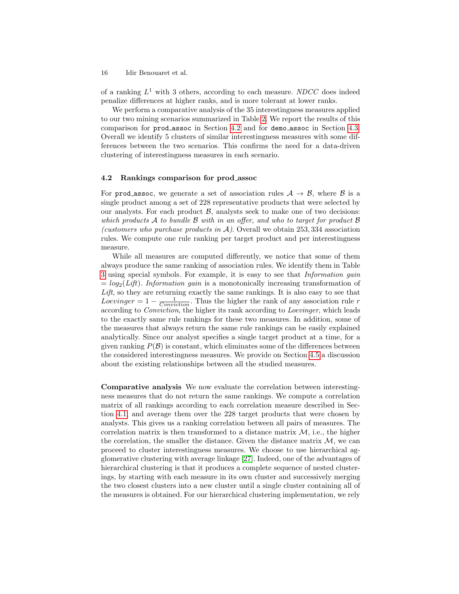of a ranking  $L^1$  with 3 others, according to each measure. NDCC does indeed penalize differences at higher ranks, and is more tolerant at lower ranks.

We perform a comparative analysis of the 35 interestingness measures applied to our two mining scenarios summarized in Table 2. We report the results of this comparison for prod assoc in Section 4.2 and for demo assoc in Section 4.3. Overall we identify 5 clusters of similar interestingness measures with some differences between the two scenarios. This confirms the need for a data-driven clustering of interestingness measures in each scenario.

#### 4.2 Rankings comparison for prod assoc

For prod assoc, we generate a set of association rules  $A \rightarrow B$ , where B is a single product among a set of 228 representative products that were selected by our analysts. For each product  $\beta$ , analysts seek to make one of two decisions: which products  $\mathcal A$  to bundle  $\mathcal B$  with in an offer, and who to target for product  $\mathcal B$ (customers who purchase products in  $\mathcal{A}$ ). Overall we obtain 253, 334 association rules. We compute one rule ranking per target product and per interestingness measure.

While all measures are computed differently, we notice that some of them always produce the same ranking of association rules. We identify them in Table 3 using special symbols. For example, it is easy to see that Information gain  $= log_2(Lift)$ . Information gain is a monotonically increasing transformation of Lift, so they are returning exactly the same rankings. It is also easy to see that Loevinger =  $1 - \frac{1}{Convection}$ . Thus the higher the rank of any association rule r according to *Conviction*, the higher its rank according to *Loevinger*, which leads to the exactly same rule rankings for these two measures. In addition, some of the measures that always return the same rule rankings can be easily explained analytically. Since our analyst specifies a single target product at a time, for a given ranking  $P(\mathcal{B})$  is constant, which eliminates some of the differences between the considered interestingness measures. We provide on Section 4.5 a discussion about the existing relationships between all the studied measures.

Comparative analysis We now evaluate the correlation between interestingness measures that do not return the same rankings. We compute a correlation matrix of all rankings according to each correlation measure described in Section 4.1, and average them over the 228 target products that were chosen by analysts. This gives us a ranking correlation between all pairs of measures. The correlation matrix is then transformed to a distance matrix  $M$ , i.e., the higher the correlation, the smaller the distance. Given the distance matrix  $M$ , we can proceed to cluster interestingness measures. We choose to use hierarchical agglomerative clustering with average linkage [27]. Indeed, one of the advantages of hierarchical clustering is that it produces a complete sequence of nested clusterings, by starting with each measure in its own cluster and successively merging the two closest clusters into a new cluster until a single cluster containing all of the measures is obtained. For our hierarchical clustering implementation, we rely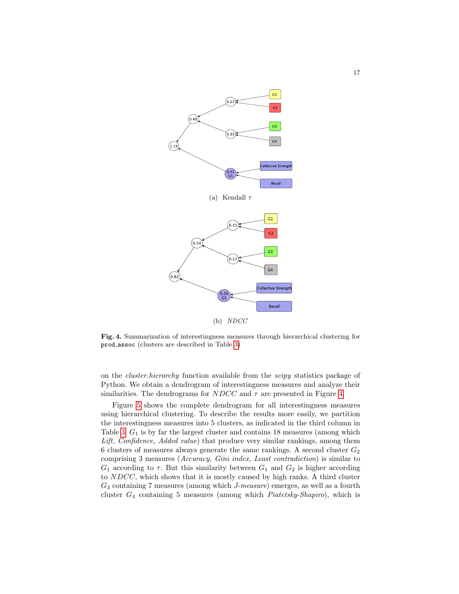

Fig. 4. Summarization of interestingness measures through hierarchical clustering for prod assoc (clusters are described in Table 3)

on the cluster.hierarchy function available from the scipy statistics package of Python. We obtain a dendrogram of interestingness measures and analyze their similarities. The dendrograms for  $NDCC$  and  $\tau$  are presented in Figure 4.

Figure 5 shows the complete dendrogram for all interestingness measures using hierarchical clustering. To describe the results more easily, we partition the interestingness measures into 5 clusters, as indicated in the third column in Table 3.  $G_1$  is by far the largest cluster and contains 18 measures (among which Lift, Confidence, Added value) that produce very similar rankings, among them 6 clusters of measures always generate the same rankings. A second cluster  $G_2$ comprising 3 measures (Accuracy, Gini index, Least contradiction) is similar to  $G_1$  according to  $\tau$ . But this similarity between  $G_1$  and  $G_2$  is higher according to NDCC, which shows that it is mostly caused by high ranks. A third cluster  $G_3$  containing 7 measures (among which *J-measure*) emerges, as well as a fourth cluster  $G_4$  containing 5 measures (among which *Piatetsky-Shapiro*), which is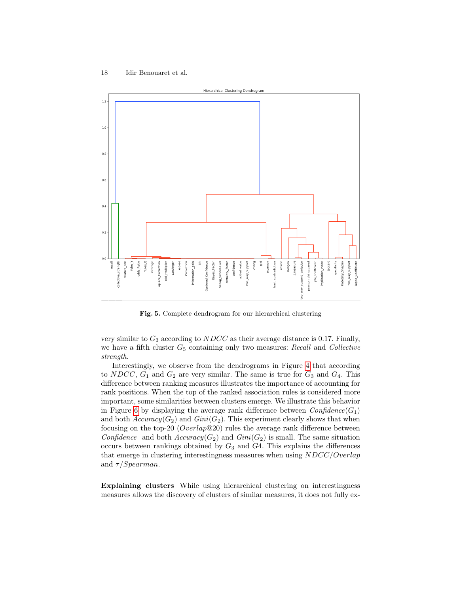

Fig. 5. Complete dendrogram for our hierarchical clustering

very similar to  $G_3$  according to  $NDCC$  as their average distance is 0.17. Finally, we have a fifth cluster  $G_5$  containing only two measures: Recall and Collective strength.

Interestingly, we observe from the dendrograms in Figure 4 that according to NDCC,  $G_1$  and  $G_2$  are very similar. The same is true for  $G_3$  and  $G_4$ . This difference between ranking measures illustrates the importance of accounting for rank positions. When the top of the ranked association rules is considered more important, some similarities between clusters emerge. We illustrate this behavior in Figure 6 by displaying the average rank difference between  $Confidence(G_1)$ and both  $Accuracy(G_2)$  and  $Gini(G_2)$ . This experiment clearly shows that when focusing on the top-20 ( $\text{Overlap@20}$ ) rules the average rank difference between Confidence and both  $Accuracy(G_2)$  and  $Gini(G_2)$  is small. The same situation occurs between rankings obtained by  $G_3$  and  $G_4$ . This explains the differences that emerge in clustering interestingness measures when using NDCC/Overlap and  $\tau/Spearman$ .

Explaining clusters While using hierarchical clustering on interestingness measures allows the discovery of clusters of similar measures, it does not fully ex-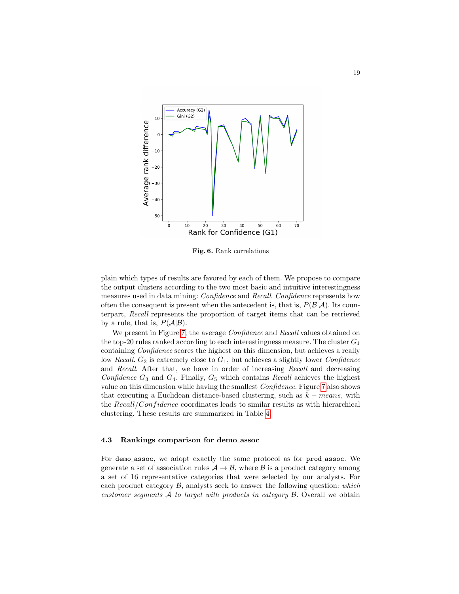

Fig. 6. Rank correlations

plain which types of results are favored by each of them. We propose to compare the output clusters according to the two most basic and intuitive interestingness measures used in data mining: Confidence and Recall. Confidence represents how often the consequent is present when the antecedent is, that is,  $P(\mathcal{B}|\mathcal{A})$ . Its counterpart, Recall represents the proportion of target items that can be retrieved by a rule, that is,  $P(A|B)$ .

We present in Figure 7, the average *Confidence* and *Recall* values obtained on the top-20 rules ranked according to each interestingness measure. The cluster  $G_1$ containing Confidence scores the highest on this dimension, but achieves a really low Recall.  $G_2$  is extremely close to  $G_1$ , but achieves a slightly lower Confidence and Recall. After that, we have in order of increasing Recall and decreasing Confidence  $G_3$  and  $G_4$ . Finally,  $G_5$  which contains Recall achieves the highest value on this dimension while having the smallest Confidence. Figure 7 also shows that executing a Euclidean distance-based clustering, such as  $k - means$ , with the  $Recall/Confidence$  coordinates leads to similar results as with hierarchical clustering. These results are summarized in Table 4.

# 4.3 Rankings comparison for demo assoc

For demo assoc, we adopt exactly the same protocol as for prod assoc. We generate a set of association rules  $A \rightarrow \mathcal{B}$ , where  $\mathcal{B}$  is a product category among a set of 16 representative categories that were selected by our analysts. For each product category  $\beta$ , analysts seek to answer the following question: which customer segments A to target with products in category B. Overall we obtain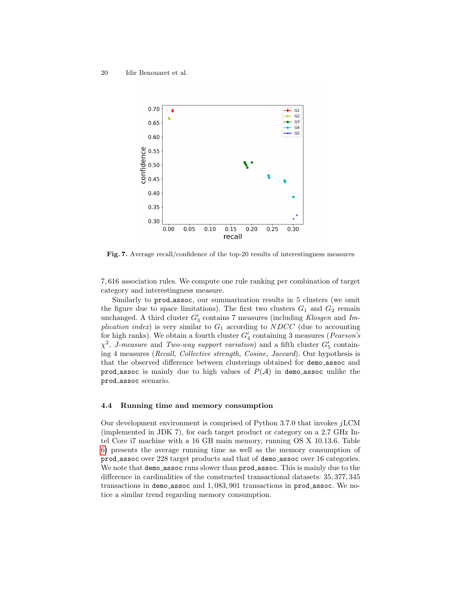

Fig. 7. Average recall/confidence of the top-20 results of interestingness measures

7, 616 association rules. We compute one rule ranking per combination of target category and interestingness measure.

Similarly to prod assoc, our summarization results in 5 clusters (we omit the figure due to space limitations). The first two clusters  $G_1$  and  $G_2$  remain unchanged. A third cluster  $G'_3$  contains 7 measures (including Klosgen and Implication index) is very similar to  $G_1$  according to NDCC (due to accounting for high ranks). We obtain a fourth cluster  $G'_{4}$  containing 3 measures (*Pearson's*  $\chi^2$ , *J*-measure and *Two-way support variation*) and a fifth cluster  $G_5'$  containing 4 measures (Recall, Collective strength, Cosine, Jaccard). Our hypothesis is that the observed difference between clusterings obtained for demo assoc and prod assoc is mainly due to high values of  $P(A)$  in demo assoc unlike the prod assoc scenario.

#### 4.4 Running time and memory consumption

Our development environment is comprised of Python 3.7.0 that invokes  $jLCM$ (implemented in JDK 7), for each target product or category on a 2.7 GHz Intel Core i7 machine with a 16 GB main memory, running OS X 10.13.6. Table 6) presents the average running time as well as the memory consumption of prod assoc over 228 target products and that of demo assoc over 16 categories. We note that demo\_assoc runs slower than prod\_assoc. This is mainly due to the difference in cardinalities of the constructed transactional datasets: 35, 377, 345 transactions in demo\_assoc and 1,083,901 transactions in prod\_assoc. We notice a similar trend regarding memory consumption.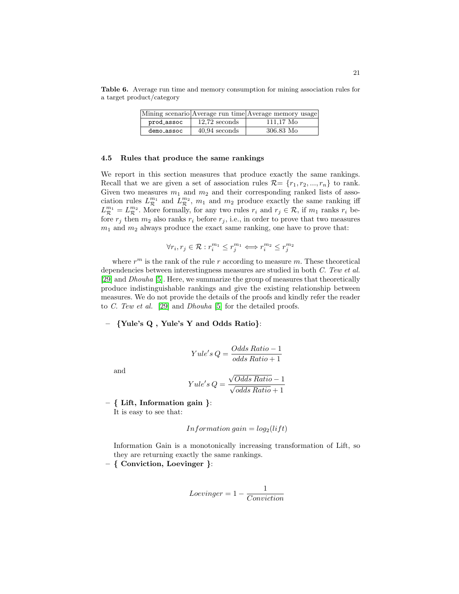Table 6. Average run time and memory consumption for mining association rules for a target product/category

|            |                 | Mining scenario Average run time Average memory usage |
|------------|-----------------|-------------------------------------------------------|
| prod_assoc | $12,72$ seconds | 111.17 Mo                                             |
| demo_assoc | $40.94$ seconds | 306.83 Mo                                             |

#### 4.5 Rules that produce the same rankings

We report in this section measures that produce exactly the same rankings. Recall that we are given a set of association rules  $\mathcal{R}={r_1, r_2, ..., r_n}$  to rank. Given two measures  $m_1$  and  $m_2$  and their corresponding ranked lists of association rules  $L_{\mathcal{R}}^{m_1}$  and  $L_{\mathcal{R}}^{m_2}$ ,  $m_1$  and  $m_2$  produce exactly the same ranking iff  $L_{\mathcal{R}}^{m_1} = L_{\mathcal{R}}^{m_2}$ . More formally, for any two rules  $r_i$  and  $r_j \in \mathcal{R}$ , if  $m_1$  ranks  $r_i$  before  $r_j$  then  $m_2$  also ranks  $r_i$  before  $r_j$ , i.e., in order to prove that two measures  $m_1$  and  $m_2$  always produce the exact same ranking, one have to prove that:

$$
\forall r_i, r_j \in \mathcal{R} : r_i^{m_1} \le r_j^{m_1} \Longleftrightarrow r_i^{m_2} \le r_j^{m_2}
$$

where  $r^m$  is the rank of the rule r according to measure m. These theoretical dependencies between interestingness measures are studied in both C. Tew et al. [29] and Dhouha [5]. Here, we summarize the group of measures that theoretically produce indistinguishable rankings and give the existing relationship between measures. We do not provide the details of the proofs and kindly refer the reader to C. Tew et al. [29] and Dhouha [5] for the detailed proofs.

## – {Yule's Q , Yule's Y and Odds Ratio}:

$$
Yule's Q = \frac{Odds \ Ratio - 1}{odds \ Ratio + 1}
$$

and

$$
Yule's Q = \frac{\sqrt{Odds Ratio} - 1}{\sqrt{odds Ratio} + 1}
$$

– { Lift, Information gain }:

It is easy to see that:

$$
Information\ gain = log_2(lift)
$$

Information Gain is a monotonically increasing transformation of Lift, so they are returning exactly the same rankings.

– { Conviction, Loevinger }:

$$
Loevinger = 1 - \frac{1}{Conviction}
$$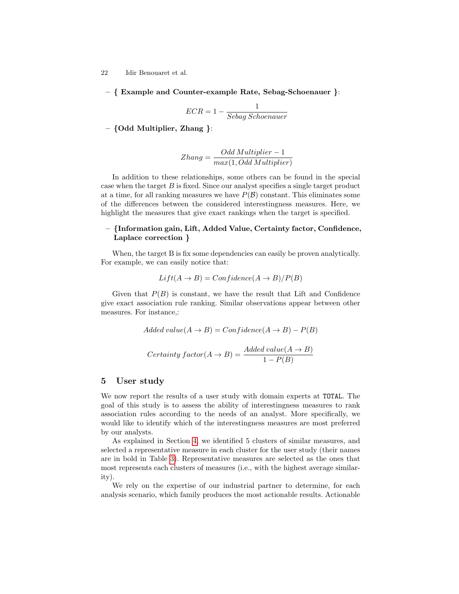- 22 Idir Benouaret et al.
- { Example and Counter-example Rate, Sebag-Schoenauer }:

$$
ECR = 1 - \frac{1}{Sebag\ Schoenauer}
$$

– {Odd Multiplier, Zhang }:

$$
Zhang = \frac{Odd \; Multiplier - 1}{max(1, Odd \; Multiplier)}
$$

In addition to these relationships, some others can be found in the special case when the target  $B$  is fixed. Since our analyst specifies a single target product at a time, for all ranking measures we have  $P(\mathcal{B})$  constant. This eliminates some of the differences between the considered interestingness measures. Here, we highlight the measures that give exact rankings when the target is specified.

# – {Information gain, Lift, Added Value, Certainty factor, Confidence, Laplace correction }

When, the target B is fix some dependencies can easily be proven analytically. For example, we can easily notice that:

$$
Lift(A \to B) = Confidence(A \to B)/P(B)
$$

Given that  $P(B)$  is constant, we have the result that Lift and Confidence give exact association rule ranking. Similar observations appear between other measures. For instance,:

$$
Added value(A \to B) = Confidence(A \to B) - P(B)
$$

$$
Certainly\ factor(A \to B) = \frac{Added\ value(A \to B)}{1 - P(B)}
$$

# 5 User study

We now report the results of a user study with domain experts at TOTAL. The goal of this study is to assess the ability of interestingness measures to rank association rules according to the needs of an analyst. More specifically, we would like to identify which of the interestingness measures are most preferred by our analysts.

As explained in Section 4, we identified 5 clusters of similar measures, and selected a representative measure in each cluster for the user study (their names are in bold in Table 3). Representative measures are selected as the ones that most represents each clusters of measures (i.e., with the highest average similarity).

We rely on the expertise of our industrial partner to determine, for each analysis scenario, which family produces the most actionable results. Actionable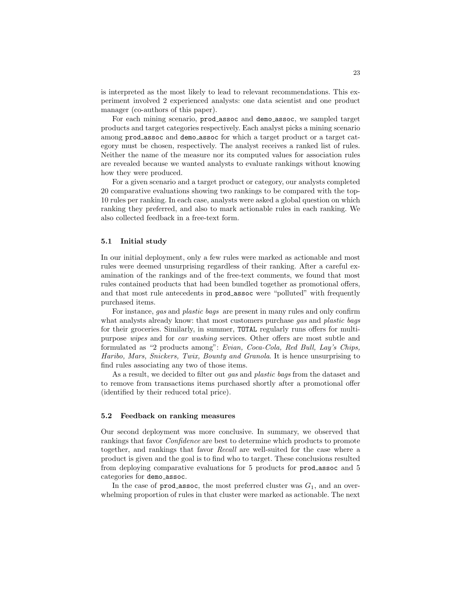is interpreted as the most likely to lead to relevant recommendations. This experiment involved 2 experienced analysts: one data scientist and one product manager (co-authors of this paper).

For each mining scenario, prod assoc and demo assoc, we sampled target products and target categories respectively. Each analyst picks a mining scenario among prod assoc and demo assoc for which a target product or a target category must be chosen, respectively. The analyst receives a ranked list of rules. Neither the name of the measure nor its computed values for association rules are revealed because we wanted analysts to evaluate rankings without knowing how they were produced.

For a given scenario and a target product or category, our analysts completed 20 comparative evaluations showing two rankings to be compared with the top-10 rules per ranking. In each case, analysts were asked a global question on which ranking they preferred, and also to mark actionable rules in each ranking. We also collected feedback in a free-text form.

#### 5.1 Initial study

In our initial deployment, only a few rules were marked as actionable and most rules were deemed unsurprising regardless of their ranking. After a careful examination of the rankings and of the free-text comments, we found that most rules contained products that had been bundled together as promotional offers, and that most rule antecedents in prod assoc were "polluted" with frequently purchased items.

For instance, gas and plastic bags are present in many rules and only confirm what analysts already know: that most customers purchase gas and plastic bags for their groceries. Similarly, in summer, TOTAL regularly runs offers for multipurpose wipes and for car washing services. Other offers are most subtle and formulated as "2 products among": Evian, Coca-Cola, Red Bull, Lay's Chips, Haribo, Mars, Snickers, Twix, Bounty and Granola. It is hence unsurprising to find rules associating any two of those items.

As a result, we decided to filter out gas and plastic bags from the dataset and to remove from transactions items purchased shortly after a promotional offer (identified by their reduced total price).

## 5.2 Feedback on ranking measures

Our second deployment was more conclusive. In summary, we observed that rankings that favor *Confidence* are best to determine which products to promote together, and rankings that favor Recall are well-suited for the case where a product is given and the goal is to find who to target. These conclusions resulted from deploying comparative evaluations for 5 products for prod assoc and 5 categories for demo assoc.

In the case of prod assoc, the most preferred cluster was  $G_1$ , and an overwhelming proportion of rules in that cluster were marked as actionable. The next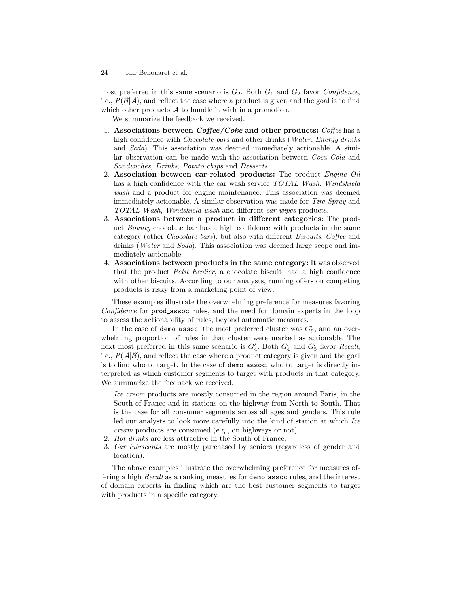most preferred in this same scenario is  $G_2$ . Both  $G_1$  and  $G_2$  favor Confidence, i.e.,  $P(\mathcal{B}|\mathcal{A})$ , and reflect the case where a product is given and the goal is to find which other products A to bundle it with in a promotion.

We summarize the feedback we received.

- 1. Associations between  $Cof\!\!f\!ee/Coke$  and other products:  $Cof\!\!f\!ee$  has a high confidence with *Chocolate bars* and other drinks (*Water, Energy drinks* and Soda). This association was deemed immediately actionable. A similar observation can be made with the association between Coca Cola and Sandwiches, Drinks, Potato chips and Desserts.
- 2. Association between car-related products: The product *Engine Oil* has a high confidence with the car wash service TOTAL Wash, Windshield wash and a product for engine maintenance. This association was deemed immediately actionable. A similar observation was made for Tire Spray and TOTAL Wash, Windshield wash and different car wipes products.
- 3. Associations between a product in different categories: The product Bounty chocolate bar has a high confidence with products in the same category (other Chocolate bars), but also with different Biscuits, Coffee and drinks (*Water* and *Soda*). This association was deemed large scope and immediately actionable.
- 4. Associations between products in the same category: It was observed that the product Petit Ecolier, a chocolate biscuit, had a high confidence with other biscuits. According to our analysts, running offers on competing products is risky from a marketing point of view.

These examples illustrate the overwhelming preference for measures favoring Confidence for prod assoc rules, and the need for domain experts in the loop to assess the actionability of rules, beyond automatic measures.

In the case of demo\_assoc, the most preferred cluster was  $G'_{5}$ , and an overwhelming proportion of rules in that cluster were marked as actionable. The next most preferred in this same scenario is  $G'_{4}$ . Both  $G'_{4}$  and  $G'_{5}$  favor Recall, i.e.,  $P(\mathcal{A}|\mathcal{B})$ , and reflect the case where a product category is given and the goal is to find who to target. In the case of demo assoc, who to target is directly interpreted as which customer segments to target with products in that category. We summarize the feedback we received.

- 1. Ice cream products are mostly consumed in the region around Paris, in the South of France and in stations on the highway from North to South. That is the case for all consumer segments across all ages and genders. This rule led our analysts to look more carefully into the kind of station at which Ice cream products are consumed (e.g., on highways or not).
- 2. Hot drinks are less attractive in the South of France.
- 3. Car lubricants are mostly purchased by seniors (regardless of gender and location).

The above examples illustrate the overwhelming preference for measures offering a high Recall as a ranking measures for demo assoc rules, and the interest of domain experts in finding which are the best customer segments to target with products in a specific category.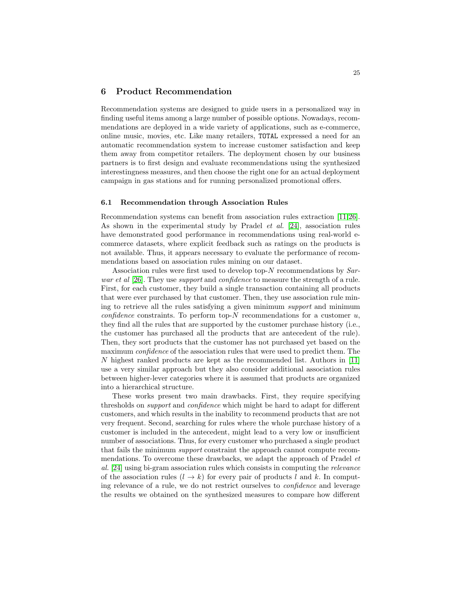# 6 Product Recommendation

Recommendation systems are designed to guide users in a personalized way in finding useful items among a large number of possible options. Nowadays, recommendations are deployed in a wide variety of applications, such as e-commerce, online music, movies, etc. Like many retailers, TOTAL expressed a need for an automatic recommendation system to increase customer satisfaction and keep them away from competitor retailers. The deployment chosen by our business partners is to first design and evaluate recommendations using the synthesized interestingness measures, and then choose the right one for an actual deployment campaign in gas stations and for running personalized promotional offers.

#### 6.1 Recommendation through Association Rules

Recommendation systems can benefit from association rules extraction [11,26]. As shown in the experimental study by Pradel et al. [24], association rules have demonstrated good performance in recommendations using real-world ecommerce datasets, where explicit feedback such as ratings on the products is not available. Thus, it appears necessary to evaluate the performance of recommendations based on association rules mining on our dataset.

Association rules were first used to develop to p- $N$  recommendations by  $Sar$ war et al [26]. They use *support* and *confidence* to measure the strength of a rule. First, for each customer, they build a single transaction containing all products that were ever purchased by that customer. Then, they use association rule mining to retrieve all the rules satisfying a given minimum support and minimum confidence constraints. To perform top-N recommendations for a customer  $u$ , they find all the rules that are supported by the customer purchase history (i.e., the customer has purchased all the products that are antecedent of the rule). Then, they sort products that the customer has not purchased yet based on the maximum confidence of the association rules that were used to predict them. The N highest ranked products are kept as the recommended list. Authors in [11] use a very similar approach but they also consider additional association rules between higher-lever categories where it is assumed that products are organized into a hierarchical structure.

These works present two main drawbacks. First, they require specifying thresholds on support and confidence which might be hard to adapt for different customers, and which results in the inability to recommend products that are not very frequent. Second, searching for rules where the whole purchase history of a customer is included in the antecedent, might lead to a very low or insufficient number of associations. Thus, for every customer who purchased a single product that fails the minimum support constraint the approach cannot compute recommendations. To overcome these drawbacks, we adapt the approach of Pradel et al. [24] using bi-gram association rules which consists in computing the relevance of the association rules  $(l \to k)$  for every pair of products l and k. In computing relevance of a rule, we do not restrict ourselves to confidence and leverage the results we obtained on the synthesized measures to compare how different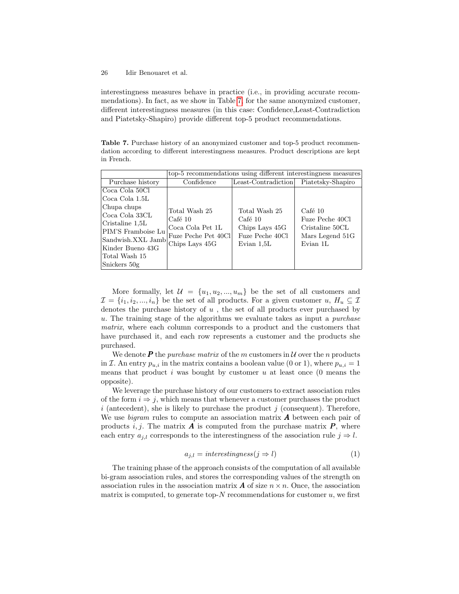interestingness measures behave in practice (i.e., in providing accurate recommendations). In fact, as we show in Table 7, for the same anonymized customer, different interestingness measures (in this case: Confidence,Least-Contradiction and Piatetsky-Shapiro) provide different top-5 product recommendations.

Table 7. Purchase history of an anonymized customer and top-5 product recommendation according to different interestingness measures. Product descriptions are kept in French.

|                                                                                                                                                                                       | top-5 recommendations using different interestingness measures                        |                                                                               |                                                                              |  |
|---------------------------------------------------------------------------------------------------------------------------------------------------------------------------------------|---------------------------------------------------------------------------------------|-------------------------------------------------------------------------------|------------------------------------------------------------------------------|--|
| Purchase history                                                                                                                                                                      | Confidence                                                                            | Least-Contradiction                                                           | Piatetsky-Shapiro                                                            |  |
| Coca Cola 50Cl<br>'Coca Cola 1.5L<br>Chupa chups<br>Coca Cola 33CL<br>Cristaline 1.5L<br>PIM'S Framboise Lu<br>Sandwish.XXL Jamb<br>Kinder Bueno 43G<br>Total Wash 15<br>Snickers 50g | Total Wash 25<br>Café 10<br>Coca Cola Pet 1L<br>Fuze Peche Pet 40Cl<br>Chips Lays 45G | Total Wash 25<br>Café 10<br>Chips Lays 45G<br>Fuze Peche 40Cl<br>Evian $1.5L$ | Café 10<br>Fuze Peche 40Cl<br>Cristaline 50CL<br>Mars Legend 51G<br>Evian 1L |  |

More formally, let  $\mathcal{U} = \{u_1, u_2, ..., u_m\}$  be the set of all customers and  $\mathcal{I} = \{i_1, i_2, ..., i_n\}$  be the set of all products. For a given customer  $u, H_u \subseteq \mathcal{I}$ denotes the purchase history of  $u$ , the set of all products ever purchased by u. The training stage of the algorithms we evaluate takes as input a purchase matrix, where each column corresponds to a product and the customers that have purchased it, and each row represents a customer and the products she purchased.

We denote  $P$  the *purchase matrix* of the m customers in  $U$  over the n products in *I*. An entry  $p_{u,i}$  in the matrix contains a boolean value (0 or 1), where  $p_{u,i} = 1$ means that product i was bought by customer  $u$  at least once (0 means the opposite).

We leverage the purchase history of our customers to extract association rules of the form  $i \Rightarrow j$ , which means that whenever a customer purchases the product i (antecedent), she is likely to purchase the product j (consequent). Therefore, We use *bigram* rules to compute an association matrix  $\boldsymbol{A}$  between each pair of products i, j. The matrix  $\boldsymbol{A}$  is computed from the purchase matrix  $\boldsymbol{P}$ , where each entry  $a_{j,l}$  corresponds to the interestingness of the association rule  $j \Rightarrow l$ .

$$
a_{j,l} = interestingness(j \Rightarrow l)
$$
\n<sup>(1)</sup>

The training phase of the approach consists of the computation of all available bi-gram association rules, and stores the corresponding values of the strength on association rules in the association matrix  $\boldsymbol{A}$  of size  $n \times n$ . Once, the association matrix is computed, to generate top- $N$  recommendations for customer  $u$ , we first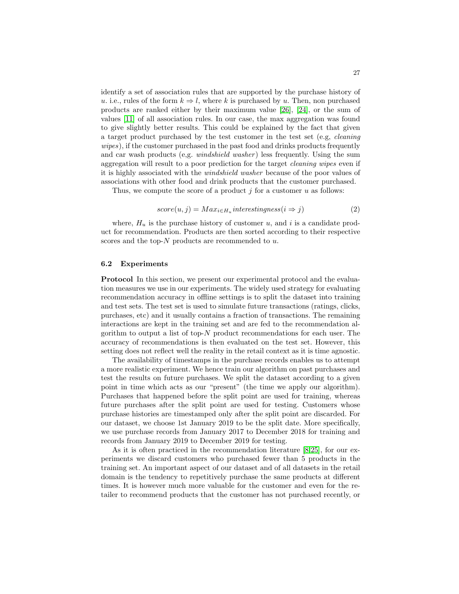identify a set of association rules that are supported by the purchase history of u. i.e., rules of the form  $k \Rightarrow l$ , where k is purchased by u. Then, non purchased products are ranked either by their maximum value [26], [24], or the sum of values [11] of all association rules. In our case, the max aggregation was found to give slightly better results. This could be explained by the fact that given a target product purchased by the test customer in the test set (e.g, cleaning wipes), if the customer purchased in the past food and drinks products frequently and car wash products (e.g. *windshield washer*) less frequently. Using the sum aggregation will result to a poor prediction for the target cleaning wipes even if it is highly associated with the windshield washer because of the poor values of associations with other food and drink products that the customer purchased.

Thus, we compute the score of a product  $i$  for a customer  $u$  as follows:

$$
score(u, j) = Max_{i \in H_u} interestingness(i \Rightarrow j)
$$
\n(2)

where,  $H_u$  is the purchase history of customer u, and i is a candidate product for recommendation. Products are then sorted according to their respective scores and the top- $N$  products are recommended to  $u$ .

#### 6.2 Experiments

Protocol In this section, we present our experimental protocol and the evaluation measures we use in our experiments. The widely used strategy for evaluating recommendation accuracy in offline settings is to split the dataset into training and test sets. The test set is used to simulate future transactions (ratings, clicks, purchases, etc) and it usually contains a fraction of transactions. The remaining interactions are kept in the training set and are fed to the recommendation algorithm to output a list of top- $N$  product recommendations for each user. The accuracy of recommendations is then evaluated on the test set. However, this setting does not reflect well the reality in the retail context as it is time agnostic.

The availability of timestamps in the purchase records enables us to attempt a more realistic experiment. We hence train our algorithm on past purchases and test the results on future purchases. We split the dataset according to a given point in time which acts as our "present" (the time we apply our algorithm). Purchases that happened before the split point are used for training, whereas future purchases after the split point are used for testing. Customers whose purchase histories are timestamped only after the split point are discarded. For our dataset, we choose 1st January 2019 to be the split date. More specifically, we use purchase records from January 2017 to December 2018 for training and records from January 2019 to December 2019 for testing.

As it is often practiced in the recommendation literature [8,25], for our experiments we discard customers who purchased fewer than 5 products in the training set. An important aspect of our dataset and of all datasets in the retail domain is the tendency to repetitively purchase the same products at different times. It is however much more valuable for the customer and even for the retailer to recommend products that the customer has not purchased recently, or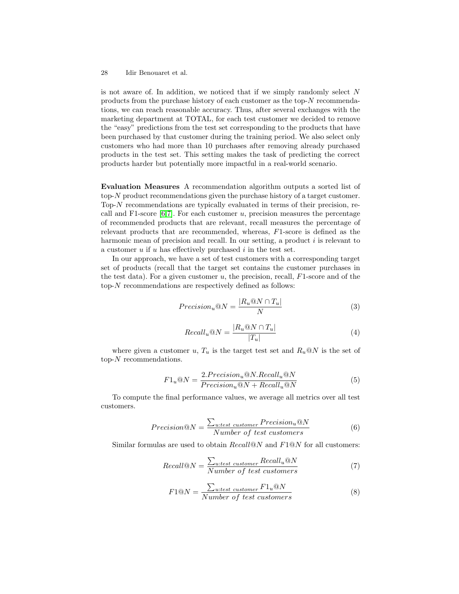is not aware of. In addition, we noticed that if we simply randomly select  $N$ products from the purchase history of each customer as the top-N recommendations, we can reach reasonable accuracy. Thus, after several exchanges with the marketing department at TOTAL, for each test customer we decided to remove the "easy" predictions from the test set corresponding to the products that have been purchased by that customer during the training period. We also select only customers who had more than 10 purchases after removing already purchased products in the test set. This setting makes the task of predicting the correct products harder but potentially more impactful in a real-world scenario.

Evaluation Measures A recommendation algorithm outputs a sorted list of top-N product recommendations given the purchase history of a target customer. Top-N recommendations are typically evaluated in terms of their precision, recall and F1-score  $[6,7]$ . For each customer u, precision measures the percentage of recommended products that are relevant, recall measures the percentage of relevant products that are recommended, whereas, F1-score is defined as the harmonic mean of precision and recall. In our setting, a product  $i$  is relevant to a customer  $u$  if  $u$  has effectively purchased  $i$  in the test set.

In our approach, we have a set of test customers with a corresponding target set of products (recall that the target set contains the customer purchases in the test data). For a given customer  $u$ , the precision, recall,  $F1$ -score and of the top-N recommendations are respectively defined as follows:

$$
Precision_u @N = \frac{|R_u @N \cap T_u|}{N} \tag{3}
$$

$$
Recall_u @N = \frac{|R_u @N \cap T_u|}{|T_u|} \tag{4}
$$

where given a customer u,  $T_u$  is the target test set and  $R_u@N$  is the set of  $top-N$  recommendations.

$$
F1_u@N = \frac{2.Precision_u@N.Fecall_u@N}{Precision_u@N + Recall_u@N}
$$
(5)

To compute the final performance values, we average all metrics over all test customers.

$$
Precision@N = \frac{\sum_{u: test\ customer} Precision_u@N}{Number\ of\ test\ customers}
$$
\n(6)

Similar formulas are used to obtain  $Recall@N$  and  $F1@N$  for all customers:

$$
Recall@N = \frac{\sum_{u: test\ customer} Recall_u@N}{Number\ of\ test\ customers}
$$
\n(7)

$$
F1@N = \frac{\sum_{u: test\ customer} F1_u@N}{Number\ of\ test\ customers}
$$
\n(8)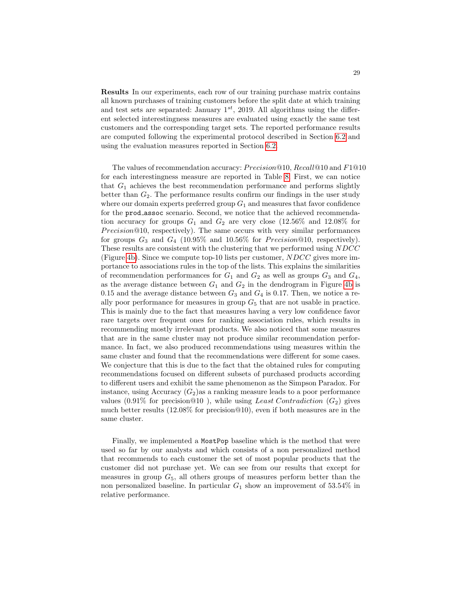Results In our experiments, each row of our training purchase matrix contains all known purchases of training customers before the split date at which training and test sets are separated: January  $1^{st}$ , 2019. All algorithms using the different selected interestingness measures are evaluated using exactly the same test customers and the corresponding target sets. The reported performance results are computed following the experimental protocol described in Section 6.2 and using the evaluation measures reported in Section 6.2.

The values of recommendation accuracy:  $Precision@10$ ,  $Recall@10$  and  $F1@10$ for each interestingness measure are reported in Table 8. First, we can notice that  $G_1$  achieves the best recommendation performance and performs slightly better than  $G_2$ . The performance results confirm our findings in the user study where our domain experts preferred group  $G_1$  and measures that favor confidence for the prod assoc scenario. Second, we notice that the achieved recommendation accuracy for groups  $G_1$  and  $G_2$  are very close (12.56% and 12.08% for Precision@10, respectively). The same occurs with very similar performances for groups  $G_3$  and  $G_4$  (10.95% and 10.56% for *Precision*@10, respectively). These results are consistent with the clustering that we performed using NDCC (Figure 4b). Since we compute top-10 lists per customer,  $NDCC$  gives more importance to associations rules in the top of the lists. This explains the similarities of recommendation performances for  $G_1$  and  $G_2$  as well as groups  $G_3$  and  $G_4$ , as the average distance between  $G_1$  and  $G_2$  in the dendrogram in Figure 4b is 0.15 and the average distance between  $G_3$  and  $G_4$  is 0.17. Then, we notice a really poor performance for measures in group  $G_5$  that are not usable in practice. This is mainly due to the fact that measures having a very low confidence favor rare targets over frequent ones for ranking association rules, which results in recommending mostly irrelevant products. We also noticed that some measures that are in the same cluster may not produce similar recommendation performance. In fact, we also produced recommendations using measures within the same cluster and found that the recommendations were different for some cases. We conjecture that this is due to the fact that the obtained rules for computing recommendations focused on different subsets of purchased products according to different users and exhibit the same phenomenon as the Simpson Paradox. For instance, using Accuracy  $(G_2)$ as a ranking measure leads to a poor performance values  $(0.91\%$  for precision  $@10$ ), while using Least Contradiction  $(G_2)$  gives much better results (12.08% for precision@10), even if both measures are in the same cluster.

Finally, we implemented a MostPop baseline which is the method that were used so far by our analysts and which consists of a non personalized method that recommends to each customer the set of most popular products that the customer did not purchase yet. We can see from our results that except for measures in group  $G_5$ , all others groups of measures perform better than the non personalized baseline. In particular  $G_1$  show an improvement of 53.54% in relative performance.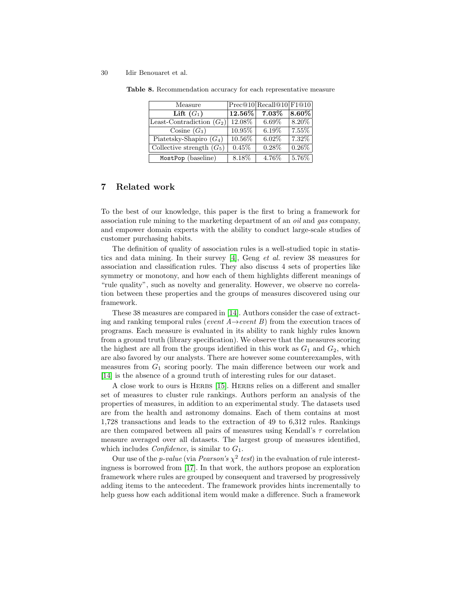| Measure                     |          | Prec@10 Recall@10 F1@10 |                       |
|-----------------------------|----------|-------------------------|-----------------------|
| Lift $(G_1)$                | 12.56%   | 7.03%                   | $\overline{ 8.60\% }$ |
| Least-Contradiction $(G_2)$ | 12.08%   | $6.69\%$                | $8.20\%$              |
| Cosine $(G_3)$              | 10.95%   | $6.19\%$                | 7.55%                 |
| Piatetsky-Shapiro $(G_4)$   | 10.56%   | $6.02\%$                | 7.32\%                |
| Collective strength $(G_5)$ | $0.45\%$ | 0.28%                   | $0.26\%$              |
| MostPop (baseline)          | 8.18%    | 4.76%                   | $5.76\%$              |

Table 8. Recommendation accuracy for each representative measure

# 7 Related work

To the best of our knowledge, this paper is the first to bring a framework for association rule mining to the marketing department of an oil and gas company, and empower domain experts with the ability to conduct large-scale studies of customer purchasing habits.

The definition of quality of association rules is a well-studied topic in statistics and data mining. In their survey [4], Geng et al. review 38 measures for association and classification rules. They also discuss 4 sets of properties like symmetry or monotony, and how each of them highlights different meanings of "rule quality", such as novelty and generality. However, we observe no correlation between these properties and the groups of measures discovered using our framework.

These 38 measures are compared in [14]. Authors consider the case of extracting and ranking temporal rules (event  $A\rightarrow event B$ ) from the execution traces of programs. Each measure is evaluated in its ability to rank highly rules known from a ground truth (library specification). We observe that the measures scoring the highest are all from the groups identified in this work as  $G_1$  and  $G_2$ , which are also favored by our analysts. There are however some counterexamples, with measures from  $G_1$  scoring poorly. The main difference between our work and [14] is the absence of a ground truth of interesting rules for our dataset.

A close work to ours is HERBS [15]. HERBS relies on a different and smaller set of measures to cluster rule rankings. Authors perform an analysis of the properties of measures, in addition to an experimental study. The datasets used are from the health and astronomy domains. Each of them contains at most 1,728 transactions and leads to the extraction of 49 to 6,312 rules. Rankings are then compared between all pairs of measures using Kendall's  $\tau$  correlation measure averaged over all datasets. The largest group of measures identified, which includes *Confidence*, is similar to  $G_1$ .

Our use of the *p-value* (via *Pearson's*  $\chi^2$  *test*) in the evaluation of rule interestingness is borrowed from [17]. In that work, the authors propose an exploration framework where rules are grouped by consequent and traversed by progressively adding items to the antecedent. The framework provides hints incrementally to help guess how each additional item would make a difference. Such a framework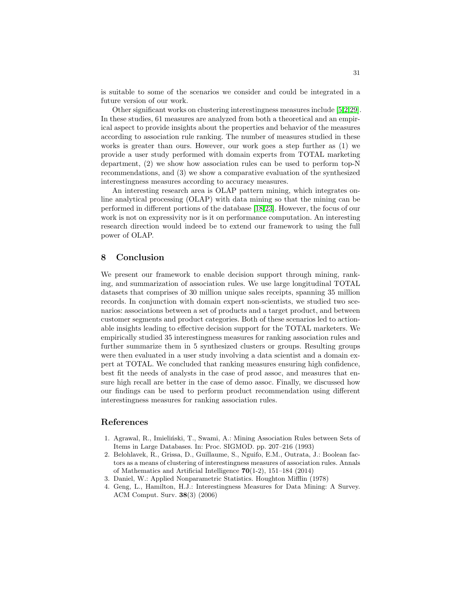is suitable to some of the scenarios we consider and could be integrated in a future version of our work.

Other significant works on clustering interestingness measures include [5,2,29]. In these studies, 61 measures are analyzed from both a theoretical and an empirical aspect to provide insights about the properties and behavior of the measures according to association rule ranking. The number of measures studied in these works is greater than ours. However, our work goes a step further as (1) we provide a user study performed with domain experts from TOTAL marketing department, (2) we show how association rules can be used to perform top-N recommendations, and (3) we show a comparative evaluation of the synthesized interestingness measures according to accuracy measures.

An interesting research area is OLAP pattern mining, which integrates online analytical processing (OLAP) with data mining so that the mining can be performed in different portions of the database [18,23]. However, the focus of our work is not on expressivity nor is it on performance computation. An interesting research direction would indeed be to extend our framework to using the full power of OLAP.

# 8 Conclusion

We present our framework to enable decision support through mining, ranking, and summarization of association rules. We use large longitudinal TOTAL datasets that comprises of 30 million unique sales receipts, spanning 35 million records. In conjunction with domain expert non-scientists, we studied two scenarios: associations between a set of products and a target product, and between customer segments and product categories. Both of these scenarios led to actionable insights leading to effective decision support for the TOTAL marketers. We empirically studied 35 interestingness measures for ranking association rules and further summarize them in 5 synthesized clusters or groups. Resulting groups were then evaluated in a user study involving a data scientist and a domain expert at TOTAL. We concluded that ranking measures ensuring high confidence, best fit the needs of analysts in the case of prod assoc, and measures that ensure high recall are better in the case of demo assoc. Finally, we discussed how our findings can be used to perform product recommendation using different interestingness measures for ranking association rules.

# References

- 1. Agrawal, R., Imieliński, T., Swami, A.: Mining Association Rules between Sets of Items in Large Databases. In: Proc. SIGMOD. pp. 207–216 (1993)
- 2. Belohlavek, R., Grissa, D., Guillaume, S., Nguifo, E.M., Outrata, J.: Boolean factors as a means of clustering of interestingness measures of association rules. Annals of Mathematics and Artificial Intelligence 70(1-2), 151–184 (2014)
- 3. Daniel, W.: Applied Nonparametric Statistics. Houghton Mifflin (1978)
- 4. Geng, L., Hamilton, H.J.: Interestingness Measures for Data Mining: A Survey. ACM Comput. Surv. 38(3) (2006)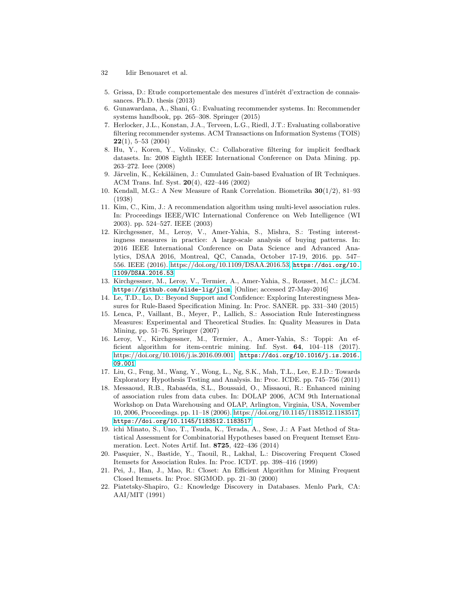- 32 Idir Benouaret et al.
- 5. Grissa, D.: Etude comportementale des mesures d'intérêt d'extraction de connaissances. Ph.D. thesis (2013)
- 6. Gunawardana, A., Shani, G.: Evaluating recommender systems. In: Recommender systems handbook, pp. 265–308. Springer (2015)
- 7. Herlocker, J.L., Konstan, J.A., Terveen, L.G., Riedl, J.T.: Evaluating collaborative filtering recommender systems. ACM Transactions on Information Systems (TOIS)  $22(1)$ , 5–53 (2004)
- 8. Hu, Y., Koren, Y., Volinsky, C.: Collaborative filtering for implicit feedback datasets. In: 2008 Eighth IEEE International Conference on Data Mining. pp. 263–272. Ieee (2008)
- 9. Järvelin, K., Kekäläinen, J.: Cumulated Gain-based Evaluation of IR Techniques. ACM Trans. Inf. Syst. 20(4), 422–446 (2002)
- 10. Kendall, M.G.: A New Measure of Rank Correlation. Biometrika 30(1/2), 81–93 (1938)
- 11. Kim, C., Kim, J.: A recommendation algorithm using multi-level association rules. In: Proceedings IEEE/WIC International Conference on Web Intelligence (WI 2003). pp. 524–527. IEEE (2003)
- 12. Kirchgessner, M., Leroy, V., Amer-Yahia, S., Mishra, S.: Testing interestingness measures in practice: A large-scale analysis of buying patterns. In: 2016 IEEE International Conference on Data Science and Advanced Analytics, DSAA 2016, Montreal, QC, Canada, October 17-19, 2016. pp. 547– 556. IEEE (2016). [https://doi.org/10.1109/DSAA.2016.53,](https://doi.org/10.1109/DSAA.2016.53) [https://doi.org/10.](https://doi.org/10.1109/DSAA.2016.53) [1109/DSAA.2016.53](https://doi.org/10.1109/DSAA.2016.53)
- 13. Kirchgessner, M., Leroy, V., Termier, A., Amer-Yahia, S., Rousset, M.C.: jLCM. <https://github.com/slide-lig/jlcm>, [Online; accessed 27-May-2016]
- 14. Le, T.D., Lo, D.: Beyond Support and Confidence: Exploring Interestingness Measures for Rule-Based Specification Mining. In: Proc. SANER. pp. 331–340 (2015)
- 15. Lenca, P., Vaillant, B., Meyer, P., Lallich, S.: Association Rule Interestingness Measures: Experimental and Theoretical Studies. In: Quality Measures in Data Mining, pp. 51–76. Springer (2007)
- 16. Leroy, V., Kirchgessner, M., Termier, A., Amer-Yahia, S.: Toppi: An efficient algorithm for item-centric mining. Inf. Syst. 64, 104-118 (2017). [https://doi.org/10.1016/j.is.2016.09.001,](https://doi.org/10.1016/j.is.2016.09.001) [https://doi.org/10.1016/j.is.2016.](https://doi.org/10.1016/j.is.2016.09.001) [09.001](https://doi.org/10.1016/j.is.2016.09.001)
- 17. Liu, G., Feng, M., Wang, Y., Wong, L., Ng, S.K., Mah, T.L., Lee, E.J.D.: Towards Exploratory Hypothesis Testing and Analysis. In: Proc. ICDE. pp. 745–756 (2011)
- 18. Messaoud, R.B., Rabaséda, S.L., Boussaid, O., Missaoui, R.: Enhanced mining of association rules from data cubes. In: DOLAP 2006, ACM 9th International Workshop on Data Warehousing and OLAP, Arlington, Virginia, USA, November 10, 2006, Proceedings. pp. 11–18 (2006). [https://doi.org/10.1145/1183512.1183517,](https://doi.org/10.1145/1183512.1183517) <https://doi.org/10.1145/1183512.1183517>
- 19. ichi Minato, S., Uno, T., Tsuda, K., Terada, A., Sese, J.: A Fast Method of Statistical Assessment for Combinatorial Hypotheses based on Frequent Itemset Enumeration. Lect. Notes Artif. Int. 8725, 422–436 (2014)
- 20. Pasquier, N., Bastide, Y., Taouil, R., Lakhal, L.: Discovering Frequent Closed Itemsets for Association Rules. In: Proc. ICDT. pp. 398–416 (1999)
- 21. Pei, J., Han, J., Mao, R.: Closet: An Efficient Algorithm for Mining Frequent Closed Itemsets. In: Proc. SIGMOD. pp. 21–30 (2000)
- 22. Piatetsky-Shapiro, G.: Knowledge Discovery in Databases. Menlo Park, CA: AAI/MIT (1991)